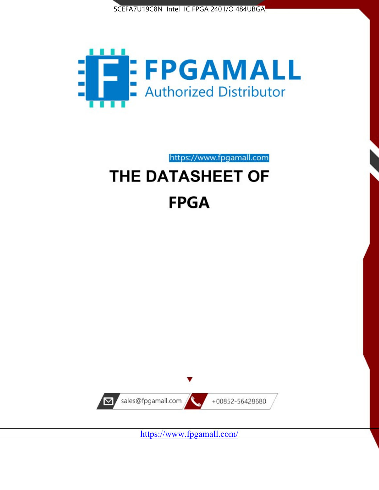



https://www.fpgamall.com

# THE DATASHEET OF **FPGA**



<https://www.fpgamall.com/>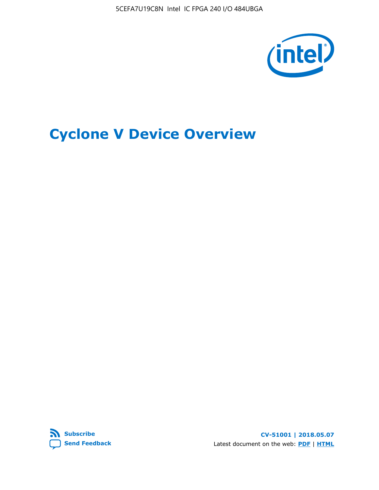5CEFA7U19C8N Intel IC FPGA 240 I/O 484UBGA



## **Cyclone V Device Overview**



**CV-51001 | 2018.05.07** Latest document on the web: **[PDF](https://www.altera.com/en_US/pdfs/literature/hb/cyclone-v/cv_51001.pdf)** | **[HTML](https://www.altera.com/documentation/sam1403480548153.html)**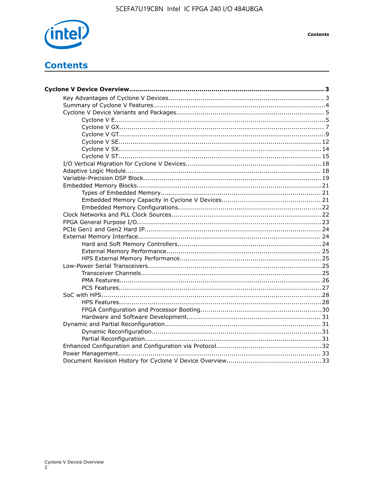

## **Contents**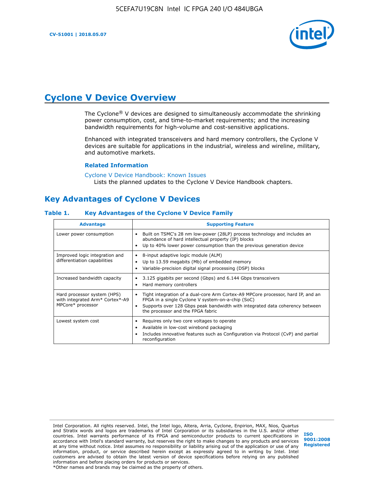

## **Cyclone V Device Overview**

The Cyclone® V devices are designed to simultaneously accommodate the shrinking power consumption, cost, and time-to-market requirements; and the increasing bandwidth requirements for high-volume and cost-sensitive applications.

Enhanced with integrated transceivers and hard memory controllers, the Cyclone V devices are suitable for applications in the industrial, wireless and wireline, military, and automotive markets.

#### **Related Information**

#### [Cyclone V Device Handbook: Known Issues](https://www.altera.com/support/support-resources/knowledge-base/solutions/rd12152011_347.html) Lists the planned updates to the Cyclone V Device Handbook chapters.

## **Key Advantages of Cyclone V Devices**

#### **Table 1. Key Advantages of the Cyclone V Device Family**

| <b>Advantage</b>                                                                    | <b>Supporting Feature</b>                                                                                                                                                                                                                                                    |
|-------------------------------------------------------------------------------------|------------------------------------------------------------------------------------------------------------------------------------------------------------------------------------------------------------------------------------------------------------------------------|
| Lower power consumption                                                             | Built on TSMC's 28 nm low-power (28LP) process technology and includes an<br>٠<br>abundance of hard intellectual property (IP) blocks<br>Up to 40% lower power consumption than the previous generation device<br>٠                                                          |
| Improved logic integration and<br>differentiation capabilities                      | 8-input adaptive logic module (ALM)<br>٠<br>Up to 13.59 megabits (Mb) of embedded memory<br>٠<br>Variable-precision digital signal processing (DSP) blocks<br>٠                                                                                                              |
| Increased bandwidth capacity                                                        | 3.125 gigabits per second (Gbps) and 6.144 Gbps transceivers<br>٠<br>Hard memory controllers<br>٠                                                                                                                                                                            |
| Hard processor system (HPS)<br>with integrated Arm* Cortex*-A9<br>MPCore* processor | Tight integration of a dual-core Arm Cortex-A9 MPCore processor, hard IP, and an<br>$\bullet$<br>FPGA in a single Cyclone V system-on-a-chip (SoC)<br>Supports over 128 Gbps peak bandwidth with integrated data coherency between<br>٠<br>the processor and the FPGA fabric |
| Lowest system cost                                                                  | Requires only two core voltages to operate<br>٠<br>Available in low-cost wirebond packaging<br>٠<br>Includes innovative features such as Configuration via Protocol (CvP) and partial<br>٠<br>reconfiguration                                                                |

Intel Corporation. All rights reserved. Intel, the Intel logo, Altera, Arria, Cyclone, Enpirion, MAX, Nios, Quartus and Stratix words and logos are trademarks of Intel Corporation or its subsidiaries in the U.S. and/or other countries. Intel warrants performance of its FPGA and semiconductor products to current specifications in accordance with Intel's standard warranty, but reserves the right to make changes to any products and services at any time without notice. Intel assumes no responsibility or liability arising out of the application or use of any information, product, or service described herein except as expressly agreed to in writing by Intel. Intel customers are advised to obtain the latest version of device specifications before relying on any published information and before placing orders for products or services. \*Other names and brands may be claimed as the property of others.

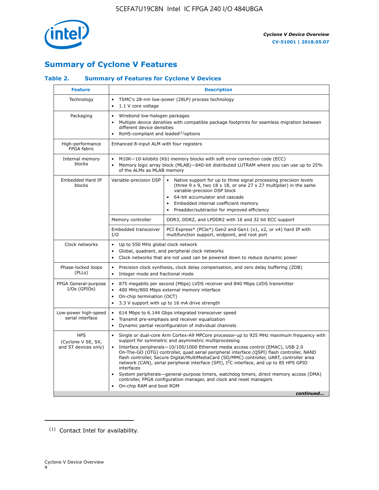

## **Summary of Cyclone V Features**

#### **Table 2. Summary of Features for Cyclone V Devices**

| <b>Feature</b>                                           | <b>Description</b>                                                                                                                                                                                      |                                                                                                                                                                                                                                                                                                                                                                                                                                                                                                                                                                                                                                                                                                         |  |  |  |  |  |
|----------------------------------------------------------|---------------------------------------------------------------------------------------------------------------------------------------------------------------------------------------------------------|---------------------------------------------------------------------------------------------------------------------------------------------------------------------------------------------------------------------------------------------------------------------------------------------------------------------------------------------------------------------------------------------------------------------------------------------------------------------------------------------------------------------------------------------------------------------------------------------------------------------------------------------------------------------------------------------------------|--|--|--|--|--|
| Technology                                               | $\bullet$<br>1.1 V core voltage<br>$\bullet$                                                                                                                                                            | TSMC's 28-nm low-power (28LP) process technology                                                                                                                                                                                                                                                                                                                                                                                                                                                                                                                                                                                                                                                        |  |  |  |  |  |
| Packaging                                                | Wirebond low-halogen packages<br>$\bullet$<br>different device densities<br>RoHS-compliant and leaded $(1)$ options                                                                                     | Multiple device densities with compatible package footprints for seamless migration between                                                                                                                                                                                                                                                                                                                                                                                                                                                                                                                                                                                                             |  |  |  |  |  |
| High-performance<br>FPGA fabric                          | Enhanced 8-input ALM with four registers                                                                                                                                                                |                                                                                                                                                                                                                                                                                                                                                                                                                                                                                                                                                                                                                                                                                                         |  |  |  |  |  |
| Internal memory<br>blocks                                | of the ALMs as MLAB memory                                                                                                                                                                              | M10K-10-kilobits (Kb) memory blocks with soft error correction code (ECC)<br>Memory logic array block (MLAB)-640-bit distributed LUTRAM where you can use up to 25%                                                                                                                                                                                                                                                                                                                                                                                                                                                                                                                                     |  |  |  |  |  |
| Embedded Hard IP<br>blocks                               | Variable-precision DSP                                                                                                                                                                                  | Native support for up to three signal processing precision levels<br>(three $9 \times 9$ , two $18 \times 18$ , or one 27 x 27 multiplier) in the same<br>variable-precision DSP block<br>64-bit accumulator and cascade<br>Embedded internal coefficient memory<br>Preadder/subtractor for improved efficiency                                                                                                                                                                                                                                                                                                                                                                                         |  |  |  |  |  |
|                                                          | Memory controller                                                                                                                                                                                       | DDR3, DDR2, and LPDDR2 with 16 and 32 bit ECC support                                                                                                                                                                                                                                                                                                                                                                                                                                                                                                                                                                                                                                                   |  |  |  |  |  |
|                                                          | Embedded transceiver<br>I/O                                                                                                                                                                             | PCI Express* (PCIe*) Gen2 and Gen1 (x1, x2, or x4) hard IP with<br>multifunction support, endpoint, and root port                                                                                                                                                                                                                                                                                                                                                                                                                                                                                                                                                                                       |  |  |  |  |  |
| Clock networks                                           | Up to 550 MHz global clock network<br>$\bullet$<br>$\bullet$                                                                                                                                            | Global, quadrant, and peripheral clock networks<br>Clock networks that are not used can be powered down to reduce dynamic power                                                                                                                                                                                                                                                                                                                                                                                                                                                                                                                                                                         |  |  |  |  |  |
| Phase-locked loops<br>(PLLs)                             | $\bullet$<br>Integer mode and fractional mode<br>$\bullet$                                                                                                                                              | Precision clock synthesis, clock delay compensation, and zero delay buffering (ZDB)                                                                                                                                                                                                                                                                                                                                                                                                                                                                                                                                                                                                                     |  |  |  |  |  |
| FPGA General-purpose<br>$I/Os$ (GPIOs)                   | $\bullet$<br>$\bullet$<br>$\bullet$                                                                                                                                                                     | 875 megabits per second (Mbps) LVDS receiver and 840 Mbps LVDS transmitter<br>400 MHz/800 Mbps external memory interface<br>On-chip termination (OCT)<br>3.3 V support with up to 16 mA drive strength                                                                                                                                                                                                                                                                                                                                                                                                                                                                                                  |  |  |  |  |  |
| Low-power high-speed<br>serial interface                 | 614 Mbps to 6.144 Gbps integrated transceiver speed<br>$\bullet$<br>Transmit pre-emphasis and receiver equalization<br>$\bullet$<br>Dynamic partial reconfiguration of individual channels<br>$\bullet$ |                                                                                                                                                                                                                                                                                                                                                                                                                                                                                                                                                                                                                                                                                                         |  |  |  |  |  |
| <b>HPS</b><br>(Cyclone V SE, SX,<br>and ST devices only) | $\bullet$<br>$\bullet$<br>interfaces<br>On-chip RAM and boot ROM                                                                                                                                        | Single or dual-core Arm Cortex-A9 MPCore processor-up to 925 MHz maximum frequency with<br>support for symmetric and asymmetric multiprocessing<br>Interface peripherals-10/100/1000 Ethernet media access control (EMAC), USB 2.0<br>On-The-GO (OTG) controller, quad serial peripheral interface (QSPI) flash controller, NAND<br>flash controller, Secure Digital/MultiMediaCard (SD/MMC) controller, UART, controller area<br>network (CAN), serial peripheral interface (SPI), I <sup>2</sup> C interface, and up to 85 HPS GPIO<br>System peripherals—general-purpose timers, watchdog timers, direct memory access (DMA)<br>controller, FPGA configuration manager, and clock and reset managers |  |  |  |  |  |
|                                                          |                                                                                                                                                                                                         | continued                                                                                                                                                                                                                                                                                                                                                                                                                                                                                                                                                                                                                                                                                               |  |  |  |  |  |

<sup>(1)</sup> Contact Intel for availability.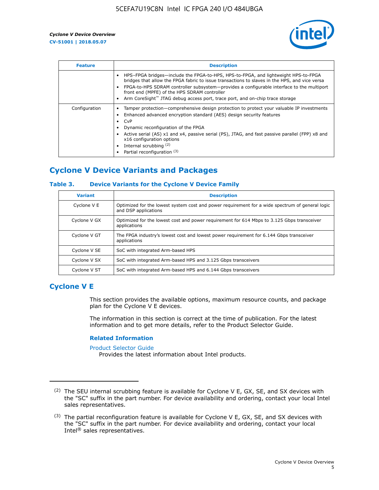

| <b>Feature</b> | <b>Description</b>                                                                                                                                                                                                                                                                                                                                                                                                           |
|----------------|------------------------------------------------------------------------------------------------------------------------------------------------------------------------------------------------------------------------------------------------------------------------------------------------------------------------------------------------------------------------------------------------------------------------------|
|                | HPS-FPGA bridges—include the FPGA-to-HPS, HPS-to-FPGA, and lightweight HPS-to-FPGA<br>bridges that allow the FPGA fabric to issue transactions to slaves in the HPS, and vice versa<br>FPGA-to-HPS SDRAM controller subsystem-provides a configurable interface to the multiport<br>front end (MPFE) of the HPS SDRAM controller<br>Arm CoreSight <sup>™</sup> JTAG debug access port, trace port, and on-chip trace storage |
| Configuration  | Tamper protection—comprehensive design protection to protect your valuable IP investments<br>Enhanced advanced encryption standard (AES) design security features<br>CvP<br>$\bullet$<br>Dynamic reconfiguration of the FPGA<br>Active serial (AS) x1 and x4, passive serial (PS), JTAG, and fast passive parallel (FPP) x8 and<br>x16 configuration options<br>Internal scrubbing (2)<br>Partial reconfiguration (3)        |

## **Cyclone V Device Variants and Packages**

#### **Table 3. Device Variants for the Cyclone V Device Family**

| <b>Variant</b> | <b>Description</b>                                                                                                      |
|----------------|-------------------------------------------------------------------------------------------------------------------------|
| Cyclone V E    | Optimized for the lowest system cost and power requirement for a wide spectrum of general logic<br>and DSP applications |
| Cyclone V GX   | Optimized for the lowest cost and power requirement for 614 Mbps to 3.125 Gbps transceiver<br>applications              |
| Cyclone V GT   | The FPGA industry's lowest cost and lowest power requirement for 6.144 Gbps transceiver<br>applications                 |
| Cyclone V SE   | SoC with integrated Arm-based HPS                                                                                       |
| Cyclone V SX   | SoC with integrated Arm-based HPS and 3.125 Gbps transceivers                                                           |
| Cyclone V ST   | SoC with integrated Arm-based HPS and 6.144 Gbps transceivers                                                           |

## **Cyclone V E**

This section provides the available options, maximum resource counts, and package plan for the Cyclone V E devices.

The information in this section is correct at the time of publication. For the latest information and to get more details, refer to the Product Selector Guide.

#### **Related Information**

[Product Selector Guide](https://www.altera.com/products/product-selector-guide.html)

Provides the latest information about Intel products.

<sup>(2)</sup> The SEU internal scrubbing feature is available for Cyclone V E, GX, SE, and SX devices with the "SC" suffix in the part number. For device availability and ordering, contact your local Intel sales representatives.

 $(3)$  The partial reconfiguration feature is available for Cyclone V E, GX, SE, and SX devices with the "SC" suffix in the part number. For device availability and ordering, contact your local Intel® sales representatives.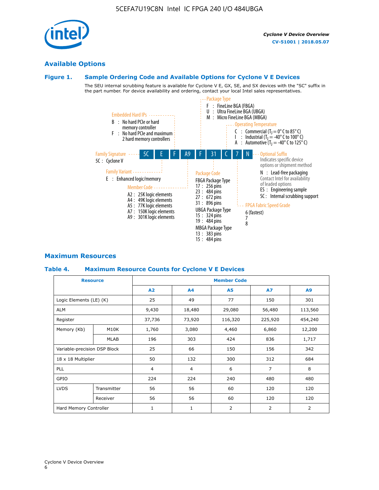## **Available Options**

#### **Figure 1. Sample Ordering Code and Available Options for Cyclone V E Devices**

The SEU internal scrubbing feature is available for Cyclone V E, GX, SE, and SX devices with the "SC" suffix in the part number. For device availability and ordering, contact your local Intel sales representatives.



#### **Maximum Resources**

#### **Table 4. Maximum Resource Counts for Cyclone V E Devices**

|                              | <b>Resource</b> | <b>Member Code</b> |                |           |                |         |  |  |
|------------------------------|-----------------|--------------------|----------------|-----------|----------------|---------|--|--|
|                              |                 | A2                 | A <sub>4</sub> | <b>A5</b> | A7             | A9      |  |  |
| Logic Elements (LE) (K)      |                 | 25                 | 49             | 77        | 150            | 301     |  |  |
| <b>ALM</b>                   |                 | 9,430              | 18,480         | 29,080    | 56,480         | 113,560 |  |  |
| Register                     |                 | 37,736             | 73,920         | 116,320   | 225,920        | 454,240 |  |  |
| Memory (Kb)                  | M10K            | 1,760              | 3,080          | 4,460     | 6,860          | 12,200  |  |  |
|                              | <b>MLAB</b>     | 196                | 303            | 424       | 836            | 1,717   |  |  |
| Variable-precision DSP Block |                 | 25                 | 66             | 150       | 156            | 342     |  |  |
| 18 x 18 Multiplier           |                 | 50                 | 132            | 300       | 312            | 684     |  |  |
| PLL                          |                 | $\overline{4}$     | $\overline{4}$ | 6         | $\overline{7}$ | 8       |  |  |
| GPIO                         |                 | 224<br>224         |                | 240       | 480            | 480     |  |  |
| <b>LVDS</b>                  | Transmitter     | 56                 | 56             | 60        | 120            | 120     |  |  |
|                              | Receiver        | 56                 | 56             | 60        | 120            | 120     |  |  |
| Hard Memory Controller       |                 | $\mathbf{1}$       | 1              | 2         | 2              | 2       |  |  |

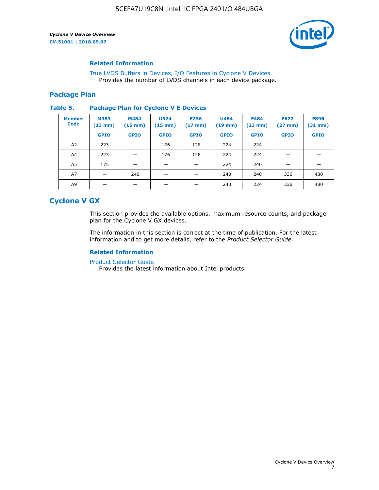

#### **Related Information**

[True LVDS Buffers in Devices, I/O Features in Cyclone V Devices](https://www.altera.com/documentation/sam1403481100977.html#sam1403480885395) Provides the number of LVDS channels in each device package.

#### **Package Plan**

#### **Table 5. Package Plan for Cyclone V E Devices**

| <b>Member</b><br><b>Code</b> | <b>M383</b><br>$(13 \text{ mm})$ | M484<br>$(15 \text{ mm})$ | <b>U324</b><br>$(15 \text{ mm})$ | <b>F256</b><br>$(17 \text{ mm})$ | <b>U484</b><br>$(19$ mm) | <b>F484</b><br>$(23$ mm $)$ | <b>F672</b><br>$(27 \text{ mm})$ | <b>F896</b><br>$(31 \text{ mm})$ |
|------------------------------|----------------------------------|---------------------------|----------------------------------|----------------------------------|--------------------------|-----------------------------|----------------------------------|----------------------------------|
|                              | <b>GPIO</b>                      | <b>GPIO</b>               | <b>GPIO</b>                      | <b>GPIO</b>                      | <b>GPIO</b>              | <b>GPIO</b>                 | <b>GPIO</b>                      | <b>GPIO</b>                      |
| A <sub>2</sub>               | 223                              |                           | 176                              | 128                              | 224                      | 224                         |                                  |                                  |
| A4                           | 223                              |                           | 176                              | 128                              | 224                      | 224                         | –                                |                                  |
| A <sub>5</sub>               | 175                              |                           |                                  |                                  | 224                      | 240                         |                                  |                                  |
| A7                           |                                  | 240                       |                                  |                                  | 240                      | 240                         | 336                              | 480                              |
| A9                           |                                  |                           |                                  |                                  | 240                      | 224                         | 336                              | 480                              |

## **Cyclone V GX**

This section provides the available options, maximum resource counts, and package plan for the Cyclone V GX devices.

The information in this section is correct at the time of publication. For the latest information and to get more details, refer to the *Product Selector Guide*.

#### **Related Information**

[Product Selector Guide](https://www.altera.com/products/product-selector-guide.html)

Provides the latest information about Intel products.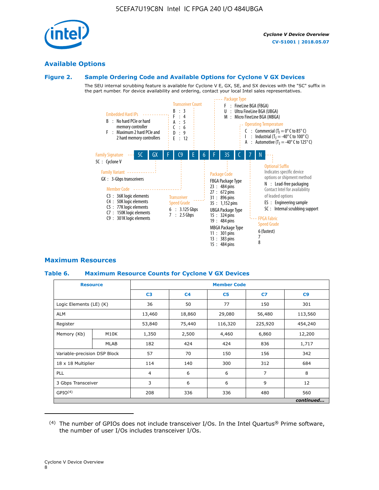

#### **Available Options**

#### **Figure 2. Sample Ordering Code and Available Options for Cyclone V GX Devices**

The SEU internal scrubbing feature is available for Cyclone V E, GX, SE, and SX devices with the "SC" suffix in the part number. For device availability and ordering, contact your local Intel sales representatives.



#### **Maximum Resources**

#### **Table 6. Maximum Resource Counts for Cyclone V GX Devices**

|                              | <b>Resource</b> | <b>Member Code</b> |                |                |                |           |  |  |
|------------------------------|-----------------|--------------------|----------------|----------------|----------------|-----------|--|--|
|                              |                 | C <sub>3</sub>     | C <sub>4</sub> | C <sub>5</sub> | C7             | C9        |  |  |
| Logic Elements (LE) (K)      |                 | 36                 | 50             | 77             | 150            | 301       |  |  |
| <b>ALM</b>                   |                 | 13,460             | 18,860         | 29,080         | 56,480         | 113,560   |  |  |
| Register                     |                 | 53,840             | 75,440         | 116,320        | 225,920        | 454,240   |  |  |
| Memory (Kb)                  | M10K            | 1,350              | 2,500          | 4,460          | 6,860          | 12,200    |  |  |
|                              | <b>MLAB</b>     | 182                | 424            | 424            | 836            | 1,717     |  |  |
| Variable-precision DSP Block |                 | 57                 | 70             | 150            | 156            | 342       |  |  |
| 18 x 18 Multiplier           |                 | 114                | 140            | 300            | 312            | 684       |  |  |
| PLL                          |                 | $\overline{4}$     |                | 6              | $\overline{7}$ | 8         |  |  |
| 3 Gbps Transceiver           |                 | 3                  | 6              | 6<br>9         |                | 12        |  |  |
| GPIO <sup>(4)</sup>          |                 | 208                | 336            | 336            | 480            | 560       |  |  |
|                              |                 |                    |                |                |                | continued |  |  |

 $(4)$  The number of GPIOs does not include transceiver I/Os. In the Intel Quartus® Prime software, the number of user I/Os includes transceiver I/Os.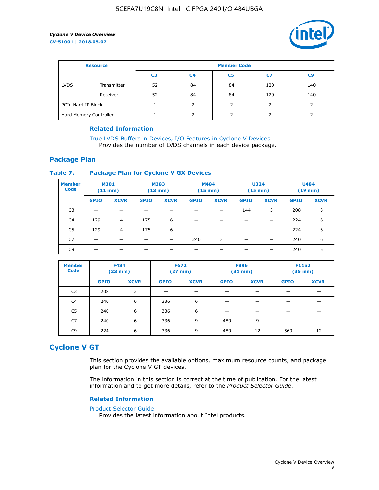

| <b>Resource</b>        |             | <b>Member Code</b> |                |                |     |                |  |  |
|------------------------|-------------|--------------------|----------------|----------------|-----|----------------|--|--|
|                        |             | C <sub>3</sub>     | C <sub>4</sub> | C <sub>5</sub> | C7  | C <sub>9</sub> |  |  |
| <b>LVDS</b>            | Transmitter | 52                 | 84             | 84             | 120 | 140            |  |  |
|                        | Receiver    | 52                 | 84             | 84             | 120 | 140            |  |  |
| PCIe Hard IP Block     |             |                    |                |                |     |                |  |  |
| Hard Memory Controller |             |                    |                |                |     |                |  |  |

#### **Related Information**

[True LVDS Buffers in Devices, I/O Features in Cyclone V Devices](https://www.altera.com/documentation/sam1403481100977.html#sam1403480885395) Provides the number of LVDS channels in each device package.

#### **Package Plan**

#### **Table 7. Package Plan for Cyclone V GX Devices**

| <b>Member</b><br><b>Code</b> | <b>M301</b><br>$(11$ mm) |                | <b>M383</b><br>$(13 \text{ mm})$ |             | M484        | $(15 \text{ mm})$ | <b>U324</b><br>$(15 \text{ mm})$ |             | <b>U484</b><br>$(19$ mm) |             |
|------------------------------|--------------------------|----------------|----------------------------------|-------------|-------------|-------------------|----------------------------------|-------------|--------------------------|-------------|
|                              | <b>GPIO</b>              | <b>XCVR</b>    | <b>GPIO</b>                      | <b>XCVR</b> | <b>GPIO</b> | <b>XCVR</b>       | <b>GPIO</b>                      | <b>XCVR</b> | <b>GPIO</b>              | <b>XCVR</b> |
| C <sub>3</sub>               |                          |                |                                  |             |             |                   | 144                              | 3           | 208                      | 3           |
| C <sub>4</sub>               | 129                      | $\overline{4}$ | 175                              | 6           |             |                   | –                                |             | 224                      | 6           |
| C5                           | 129                      | 4              | 175                              | 6           |             |                   |                                  |             | 224                      | 6           |
| C7                           | _                        |                |                                  |             | 240         | 3                 |                                  |             | 240                      | 6           |
| C9                           |                          |                |                                  |             |             |                   |                                  |             | 240                      | 5           |

| <b>Member</b><br><b>Code</b> | <b>F484</b> | $(23$ mm)   | <b>F672</b> | $(27$ mm $)$ | <b>F896</b><br>$(31 \text{ mm})$ |             | F1152<br>$(35 \text{ mm})$ |             |
|------------------------------|-------------|-------------|-------------|--------------|----------------------------------|-------------|----------------------------|-------------|
|                              | <b>GPIO</b> | <b>XCVR</b> | <b>GPIO</b> | <b>XCVR</b>  | <b>GPIO</b>                      | <b>XCVR</b> | <b>GPIO</b>                | <b>XCVR</b> |
| C <sub>3</sub>               | 208         | 3           |             |              |                                  |             |                            |             |
| C4                           | 240         | 6           | 336         | 6            |                                  |             |                            |             |
| C <sub>5</sub>               | 240         | 6           | 336         | 6            |                                  |             |                            |             |
| C <sub>7</sub>               | 240         | 6           | 336         | 9            | 480                              | 9           |                            |             |
| C9                           | 224         | 6           | 336         | 9            | 480                              | 12          | 560                        | 12          |

## **Cyclone V GT**

This section provides the available options, maximum resource counts, and package plan for the Cyclone V GT devices.

The information in this section is correct at the time of publication. For the latest information and to get more details, refer to the *Product Selector Guide*.

#### **Related Information**

#### [Product Selector Guide](https://www.altera.com/products/product-selector-guide.html)

Provides the latest information about Intel products.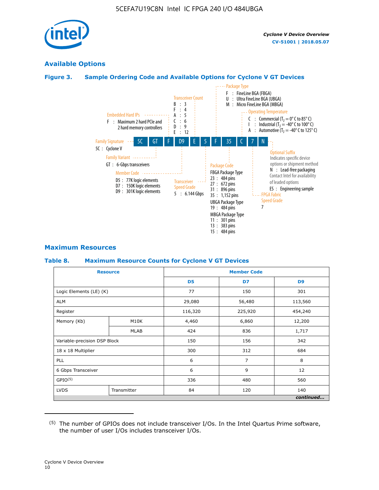

### **Available Options**

#### **Figure 3. Sample Ordering Code and Available Options for Cyclone V GT Devices**



#### **Maximum Resources**

#### **Table 8. Maximum Resource Counts for Cyclone V GT Devices**

|                              | <b>Resource</b> | <b>Member Code</b> |         |                |  |  |  |
|------------------------------|-----------------|--------------------|---------|----------------|--|--|--|
|                              |                 | D <sub>5</sub>     | D7      | D <sub>9</sub> |  |  |  |
| Logic Elements (LE) (K)      |                 | 77                 | 150     | 301            |  |  |  |
| <b>ALM</b>                   |                 | 29,080             | 56,480  | 113,560        |  |  |  |
| Register                     |                 | 116,320            | 225,920 | 454,240        |  |  |  |
| Memory (Kb)                  | M10K            | 4,460              | 6,860   | 12,200         |  |  |  |
|                              | <b>MLAB</b>     | 424                | 836     | 1,717          |  |  |  |
| Variable-precision DSP Block |                 | 150                | 156     | 342            |  |  |  |
| 18 x 18 Multiplier           |                 | 300                | 312     | 684            |  |  |  |
| PLL                          |                 |                    | 7       | 8              |  |  |  |
| 6 Gbps Transceiver           |                 | 6                  | 9       | 12             |  |  |  |
| GPIO <sup>(5)</sup>          |                 | 336                | 480     |                |  |  |  |
| <b>LVDS</b>                  | Transmitter     | 84                 | 120     | 140            |  |  |  |
|                              |                 |                    |         | continued      |  |  |  |

<sup>(5)</sup> The number of GPIOs does not include transceiver I/Os. In the Intel Quartus Prime software, the number of user I/Os includes transceiver I/Os.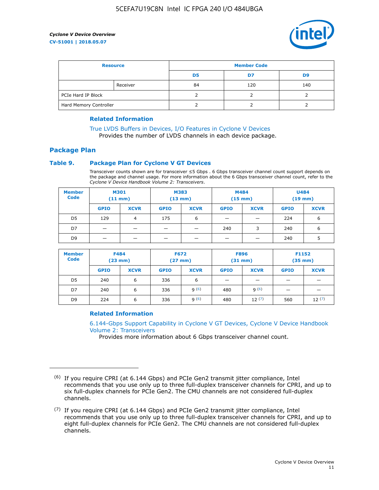

| <b>Resource</b>        |          | <b>Member Code</b> |     |     |  |  |
|------------------------|----------|--------------------|-----|-----|--|--|
|                        |          | D5                 | D7  | D9  |  |  |
|                        | Receiver | 84                 | 120 | 140 |  |  |
| PCIe Hard IP Block     |          |                    |     |     |  |  |
| Hard Memory Controller |          |                    |     |     |  |  |

#### **Related Information**

[True LVDS Buffers in Devices, I/O Features in Cyclone V Devices](https://www.altera.com/documentation/sam1403481100977.html#sam1403480885395) Provides the number of LVDS channels in each device package.

## **Package Plan**

#### **Table 9. Package Plan for Cyclone V GT Devices**

Transceiver counts shown are for transceiver ≤5 Gbps . 6 Gbps transceiver channel count support depends on the package and channel usage. For more information about the 6 Gbps transceiver channel count, refer to the *Cyclone V Device Handbook Volume 2: Transceivers*.

| <b>Member</b><br><b>Code</b> | <b>M301</b><br>$(11$ mm) |             | M383<br>$(13 \text{ mm})$ |             | M484<br>(15 mm)          |                          | <b>U484</b><br>$(19$ mm) |             |
|------------------------------|--------------------------|-------------|---------------------------|-------------|--------------------------|--------------------------|--------------------------|-------------|
|                              | <b>GPIO</b>              | <b>XCVR</b> | <b>GPIO</b>               | <b>XCVR</b> | <b>GPIO</b>              | <b>XCVR</b>              | <b>GPIO</b>              | <b>XCVR</b> |
| D <sub>5</sub>               | 129                      | 4           | 175                       | 6           | $\overline{\phantom{0}}$ | $\overline{\phantom{0}}$ | 224                      | 6           |
| D7                           | -                        |             |                           | _           | 240                      | 3                        | 240                      | 6           |
| D <sub>9</sub>               | –                        |             |                           | _           | _                        | –                        | 240                      | 5           |

| <b>Member</b><br><b>Code</b> | <b>F484</b><br>$(23 \text{ mm})$ |             | <b>F672</b><br>$(27 \text{ mm})$ |             | <b>F896</b><br>$(31$ mm $)$ |             | F1152<br>$(35$ mm $)$ |             |
|------------------------------|----------------------------------|-------------|----------------------------------|-------------|-----------------------------|-------------|-----------------------|-------------|
|                              | <b>GPIO</b>                      | <b>XCVR</b> | <b>GPIO</b>                      | <b>XCVR</b> | <b>GPIO</b>                 | <b>XCVR</b> | <b>GPIO</b>           | <b>XCVR</b> |
| D <sub>5</sub>               | 240                              | 6           | 336                              | 6           | -                           |             |                       |             |
| D7                           | 240                              | 6           | 336                              | q(6)        | 480                         | q(6)        | -                     | _           |
| D <sub>9</sub>               | 224                              | 6           | 336                              | q(6)        | 480                         | 12(7)       | 560                   | 12(7)       |

#### **Related Information**

[6.144-Gbps Support Capability in Cyclone V GT Devices, Cyclone V Device Handbook](https://www.altera.com/documentation/nik1409855456781.html#nik1409855410757) [Volume 2: Transceivers](https://www.altera.com/documentation/nik1409855456781.html#nik1409855410757)

Provides more information about 6 Gbps transceiver channel count.

<sup>(6)</sup> If you require CPRI (at 6.144 Gbps) and PCIe Gen2 transmit jitter compliance, Intel recommends that you use only up to three full-duplex transceiver channels for CPRI, and up to six full-duplex channels for PCIe Gen2. The CMU channels are not considered full-duplex channels.

 $(7)$  If you require CPRI (at 6.144 Gbps) and PCIe Gen2 transmit jitter compliance, Intel recommends that you use only up to three full-duplex transceiver channels for CPRI, and up to eight full-duplex channels for PCIe Gen2. The CMU channels are not considered full-duplex channels.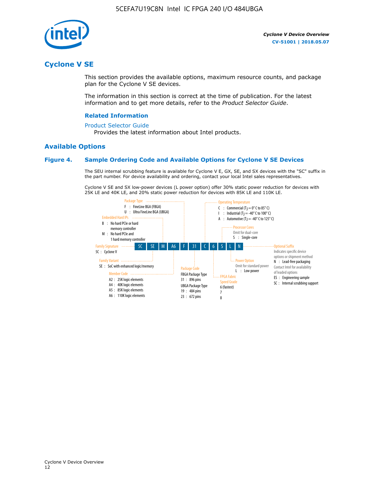

## **Cyclone V SE**

This section provides the available options, maximum resource counts, and package plan for the Cyclone V SE devices.

The information in this section is correct at the time of publication. For the latest information and to get more details, refer to the *Product Selector Guide*.

#### **Related Information**

#### [Product Selector Guide](https://www.altera.com/products/product-selector-guide.html)

Provides the latest information about Intel products.

#### **Available Options**

#### **Figure 4. Sample Ordering Code and Available Options for Cyclone V SE Devices**

The SEU internal scrubbing feature is available for Cyclone V E, GX, SE, and SX devices with the "SC" suffix in the part number. For device availability and ordering, contact your local Intel sales representatives.

Cyclone V SE and SX low-power devices (L power option) offer 30% static power reduction for devices with 25K LE and 40K LE, and 20% static power reduction for devices with 85K LE and 110K LE.

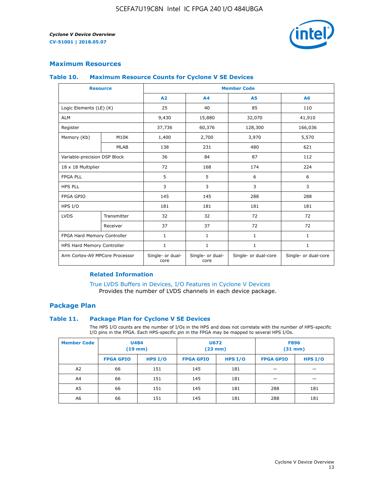

#### **Maximum Resources**

#### **Table 10. Maximum Resource Counts for Cyclone V SE Devices**

|                                | <b>Resource</b>              | <b>Member Code</b>       |                          |                      |                      |  |
|--------------------------------|------------------------------|--------------------------|--------------------------|----------------------|----------------------|--|
|                                |                              | A2                       | A4                       | <b>A5</b>            | A6                   |  |
| Logic Elements (LE) (K)        |                              | 25                       | 40                       | 85                   | 110                  |  |
| <b>ALM</b>                     |                              | 9,430                    | 15,880                   | 32,070               | 41,910               |  |
| Register                       |                              | 37,736                   | 60,376                   | 128,300              | 166,036              |  |
| Memory (Kb)                    | M10K                         | 1,400                    | 2,700                    | 3,970                | 5,570                |  |
|                                | <b>MLAB</b>                  | 138                      | 231                      | 480                  | 621                  |  |
|                                | Variable-precision DSP Block |                          | 84                       | 87                   | 112                  |  |
| 18 x 18 Multiplier             |                              | 72                       | 168                      | 174                  | 224                  |  |
| <b>FPGA PLL</b>                |                              | 5                        | 5                        | 6                    | 6                    |  |
| <b>HPS PLL</b>                 |                              | 3                        | 3                        | 3                    | 3                    |  |
| <b>FPGA GPIO</b>               |                              | 145                      | 145                      | 288                  | 288                  |  |
| HPS I/O                        |                              | 181                      | 181                      | 181                  | 181                  |  |
| <b>LVDS</b>                    | Transmitter                  | 32                       | 32                       | 72                   | 72                   |  |
|                                | Receiver                     | 37                       | 37                       | 72                   | 72                   |  |
| FPGA Hard Memory Controller    |                              | 1                        | $\mathbf{1}$             | $\mathbf{1}$         | $\mathbf{1}$         |  |
| HPS Hard Memory Controller     |                              | $\mathbf{1}$             | $\mathbf{1}$             | $\mathbf{1}$         | $\mathbf{1}$         |  |
| Arm Cortex-A9 MPCore Processor |                              | Single- or dual-<br>core | Single- or dual-<br>core | Single- or dual-core | Single- or dual-core |  |

#### **Related Information**

[True LVDS Buffers in Devices, I/O Features in Cyclone V Devices](https://www.altera.com/documentation/sam1403481100977.html#sam1403480885395) Provides the number of LVDS channels in each device package.

#### **Package Plan**

#### **Table 11. Package Plan for Cyclone V SE Devices**

The HPS I/O counts are the number of I/Os in the HPS and does not correlate with the number of HPS-specific I/O pins in the FPGA. Each HPS-specific pin in the FPGA may be mapped to several HPS I/Os.

| <b>Member Code</b> | <b>U484</b><br>$(19$ mm) |           | <b>U672</b><br>(23 mm) |           | <b>F896</b><br>$(31$ mm $)$ |           |
|--------------------|--------------------------|-----------|------------------------|-----------|-----------------------------|-----------|
|                    | <b>FPGA GPIO</b>         | HPS $I/O$ | <b>FPGA GPIO</b>       | HPS $I/O$ | <b>FPGA GPIO</b>            | HPS $I/O$ |
| A <sub>2</sub>     | 66                       | 151       | 145                    | 181       |                             |           |
| A4                 | 66                       | 151       | 145                    | 181       |                             |           |
| A <sub>5</sub>     | 66                       | 151       | 145                    | 181       | 288                         | 181       |
| A6                 | 66                       | 151       | 145                    | 181       | 288                         | 181       |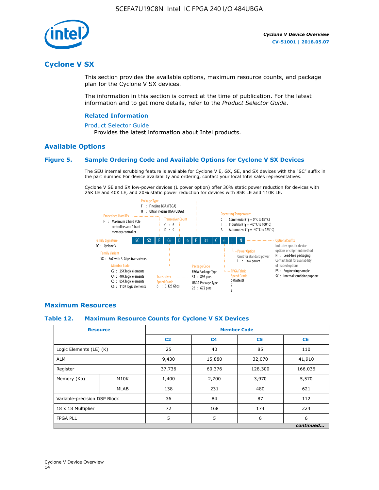

## **Cyclone V SX**

This section provides the available options, maximum resource counts, and package plan for the Cyclone V SX devices.

The information in this section is correct at the time of publication. For the latest information and to get more details, refer to the *Product Selector Guide*.

#### **Related Information**

#### [Product Selector Guide](https://www.altera.com/products/product-selector-guide.html)

Provides the latest information about Intel products.

#### **Available Options**

#### **Figure 5. Sample Ordering Code and Available Options for Cyclone V SX Devices**

The SEU internal scrubbing feature is available for Cyclone V E, GX, SE, and SX devices with the "SC" suffix in the part number. For device availability and ordering, contact your local Intel sales representatives.

Cyclone V SE and SX low-power devices (L power option) offer 30% static power reduction for devices with 25K LE and 40K LE, and 20% static power reduction for devices with 85K LE and 110K LE.



#### **Maximum Resources**

#### **Table 12. Maximum Resource Counts for Cyclone V SX Devices**

|                              | <b>Resource</b> | <b>Member Code</b> |                |                |           |  |
|------------------------------|-----------------|--------------------|----------------|----------------|-----------|--|
|                              |                 | C <sub>2</sub>     | C <sub>4</sub> | C <sub>5</sub> | C6        |  |
| Logic Elements (LE) (K)      |                 | 25                 | 40             | 85             | 110       |  |
| <b>ALM</b>                   |                 |                    | 15,880         | 32,070         | 41,910    |  |
| Register                     |                 | 37,736             | 60,376         | 128,300        | 166,036   |  |
| Memory (Kb)                  | M10K            | 1,400              | 2,700          | 3,970          | 5,570     |  |
|                              | <b>MLAB</b>     | 138                | 231            | 480            | 621       |  |
| Variable-precision DSP Block |                 | 36                 | 84             | 87             | 112       |  |
| 18 x 18 Multiplier           |                 | 72                 | 168            | 174            | 224       |  |
| <b>FPGA PLL</b>              |                 | 5                  | 5              | 6              | 6         |  |
|                              |                 |                    |                |                | continued |  |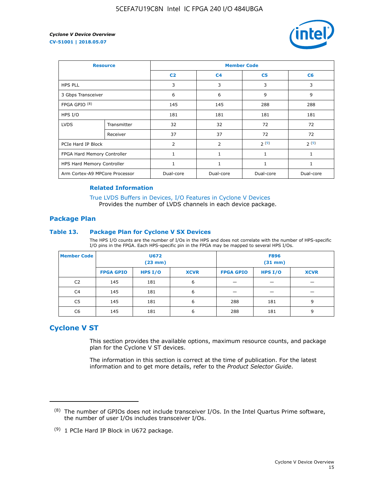

| <b>Resource</b>                |             | <b>Member Code</b> |                |                |           |  |  |
|--------------------------------|-------------|--------------------|----------------|----------------|-----------|--|--|
|                                |             | C <sub>2</sub>     | C <sub>4</sub> | C <sub>5</sub> | C6        |  |  |
| <b>HPS PLL</b>                 |             | 3                  | 3              | 3              | 3         |  |  |
| 3 Gbps Transceiver             |             | 6                  | 6              | 9              | 9         |  |  |
| FPGA GPIO <sup>(8)</sup>       |             | 145                | 145            | 288            | 288       |  |  |
| HPS I/O                        |             | 181                | 181            | 181            | 181       |  |  |
| <b>LVDS</b>                    | Transmitter | 32                 | 32             | 72             | 72        |  |  |
|                                | Receiver    | 37                 | 37             | 72             | 72        |  |  |
| PCIe Hard IP Block             |             | $\overline{2}$     | $\overline{2}$ | 2(9)           | 2(9)      |  |  |
| FPGA Hard Memory Controller    |             | $\mathbf{1}$       | 1              | 1              | 1         |  |  |
| HPS Hard Memory Controller     |             | 1                  | 1              | 1              | 1         |  |  |
| Arm Cortex-A9 MPCore Processor |             | Dual-core          | Dual-core      | Dual-core      | Dual-core |  |  |

#### **Related Information**

[True LVDS Buffers in Devices, I/O Features in Cyclone V Devices](https://www.altera.com/documentation/sam1403481100977.html#sam1403480885395) Provides the number of LVDS channels in each device package.

#### **Package Plan**

#### **Table 13. Package Plan for Cyclone V SX Devices**

The HPS I/O counts are the number of I/Os in the HPS and does not correlate with the number of HPS-specific I/O pins in the FPGA. Each HPS-specific pin in the FPGA may be mapped to several HPS I/Os.

| <b>Member Code</b> | U672<br>(23 mm)  |           | <b>F896</b><br>$(31$ mm $)$ |                  |         |             |
|--------------------|------------------|-----------|-----------------------------|------------------|---------|-------------|
|                    | <b>FPGA GPIO</b> | HPS $I/O$ | <b>XCVR</b>                 | <b>FPGA GPIO</b> | HPS I/O | <b>XCVR</b> |
| C <sub>2</sub>     | 145              | 181       | 6                           |                  |         |             |
| C4                 | 145              | 181       | 6                           |                  |         |             |
| C <sub>5</sub>     | 145              | 181       | 6                           | 288              | 181     | 9           |
| C6                 | 145              | 181       | 6                           | 288              | 181     | 9           |

## **Cyclone V ST**

This section provides the available options, maximum resource counts, and package plan for the Cyclone V ST devices.

The information in this section is correct at the time of publication. For the latest information and to get more details, refer to the *Product Selector Guide*.

 $(8)$  The number of GPIOs does not include transceiver I/Os. In the Intel Quartus Prime software, the number of user I/Os includes transceiver I/Os.

<sup>(9)</sup> 1 PCIe Hard IP Block in U672 package.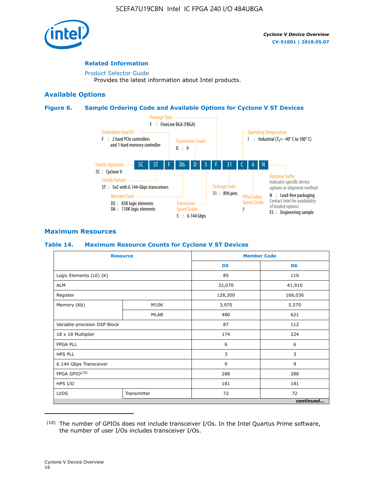

#### **Related Information**

[Product Selector Guide](https://www.altera.com/products/product-selector-guide.html) Provides the latest information about Intel products.

#### **Available Options**

#### **Figure 6. Sample Ordering Code and Available Options for Cyclone V ST Devices**



#### **Maximum Resources**

#### **Table 14. Maximum Resource Counts for Cyclone V ST Devices**

| <b>Resource</b>              |             |                | <b>Member Code</b> |
|------------------------------|-------------|----------------|--------------------|
|                              |             | D <sub>5</sub> | D <sub>6</sub>     |
| Logic Elements (LE) (K)      |             | 85             | 110                |
| <b>ALM</b>                   |             | 32,070         | 41,910             |
| Register                     |             | 128,300        | 166,036            |
| Memory (Kb)                  | M10K        | 3,970          | 5,570              |
|                              | <b>MLAB</b> | 480            | 621                |
| Variable-precision DSP Block |             | 87             | 112                |
| 18 x 18 Multiplier           |             | 174            | 224                |
| <b>FPGA PLL</b>              |             | 6              | 6                  |
| <b>HPS PLL</b>               |             | 3              | 3                  |
| 6.144 Gbps Transceiver       |             | 9              | 9                  |
| FPGA GPIO(10)                |             | 288            | 288                |
| HPS I/O                      |             | 181            | 181                |
| <b>LVDS</b>                  | Transmitter | 72             | 72                 |
|                              |             |                | continued          |

<sup>(10)</sup> The number of GPIOs does not include transceiver I/Os. In the Intel Quartus Prime software, the number of user I/Os includes transceiver I/Os.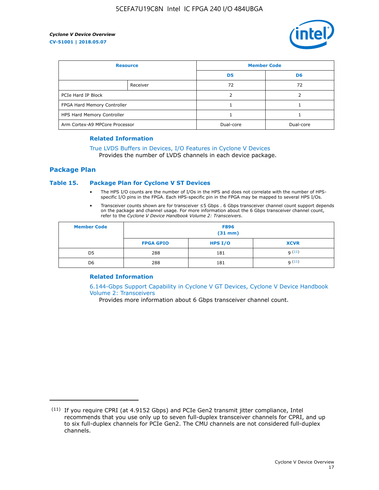

| <b>Resource</b>                |          | <b>Member Code</b> |                |  |
|--------------------------------|----------|--------------------|----------------|--|
|                                |          | D <sub>5</sub>     | D <sub>6</sub> |  |
|                                | Receiver | 72                 | 72             |  |
| PCIe Hard IP Block             |          |                    |                |  |
| FPGA Hard Memory Controller    |          |                    |                |  |
| HPS Hard Memory Controller     |          |                    |                |  |
| Arm Cortex-A9 MPCore Processor |          | Dual-core          | Dual-core      |  |

#### **Related Information**

## [True LVDS Buffers in Devices, I/O Features in Cyclone V Devices](https://www.altera.com/documentation/sam1403481100977.html#sam1403480885395)

Provides the number of LVDS channels in each device package.

#### **Package Plan**

#### **Table 15. Package Plan for Cyclone V ST Devices**

- The HPS I/O counts are the number of I/Os in the HPS and does not correlate with the number of HPSspecific I/O pins in the FPGA. Each HPS-specific pin in the FPGA may be mapped to several HPS I/Os.
- Transceiver counts shown are for transceiver ≤5 Gbps . 6 Gbps transceiver channel count support depends on the package and channel usage. For more information about the 6 Gbps transceiver channel count, refer to the *Cyclone V Device Handbook Volume 2: Transceivers*.

| <b>Member Code</b> | <b>F896</b><br>$(31$ mm $)$ |           |             |  |  |
|--------------------|-----------------------------|-----------|-------------|--|--|
|                    | <b>FPGA GPIO</b>            | HPS $I/O$ | <b>XCVR</b> |  |  |
| D <sub>5</sub>     | 288                         | 181       | 9(11)       |  |  |
| D <sub>6</sub>     | 288                         | 181       | q(11)       |  |  |

#### **Related Information**

[6.144-Gbps Support Capability in Cyclone V GT Devices, Cyclone V Device Handbook](https://www.altera.com/documentation/nik1409855456781.html#nik1409855410757) [Volume 2: Transceivers](https://www.altera.com/documentation/nik1409855456781.html#nik1409855410757)

Provides more information about 6 Gbps transceiver channel count.

<sup>(11)</sup> If you require CPRI (at 4.9152 Gbps) and PCIe Gen2 transmit jitter compliance, Intel recommends that you use only up to seven full-duplex transceiver channels for CPRI, and up to six full-duplex channels for PCIe Gen2. The CMU channels are not considered full-duplex channels.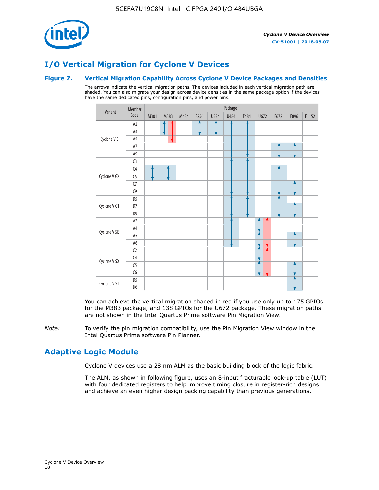

## **I/O Vertical Migration for Cyclone V Devices**

#### **Figure 7. Vertical Migration Capability Across Cyclone V Device Packages and Densities**

The arrows indicate the vertical migration paths. The devices included in each vertical migration path are shaded. You can also migrate your design across device densities in the same package option if the devices have the same dedicated pins, configuration pins, and power pins.



You can achieve the vertical migration shaded in red if you use only up to 175 GPIOs for the M383 package, and 138 GPIOs for the U672 package. These migration paths are not shown in the Intel Quartus Prime software Pin Migration View.

*Note:* To verify the pin migration compatibility, use the Pin Migration View window in the Intel Quartus Prime software Pin Planner.

## **Adaptive Logic Module**

Cyclone V devices use a 28 nm ALM as the basic building block of the logic fabric.

The ALM, as shown in following figure, uses an 8-input fracturable look-up table (LUT) with four dedicated registers to help improve timing closure in register-rich designs and achieve an even higher design packing capability than previous generations.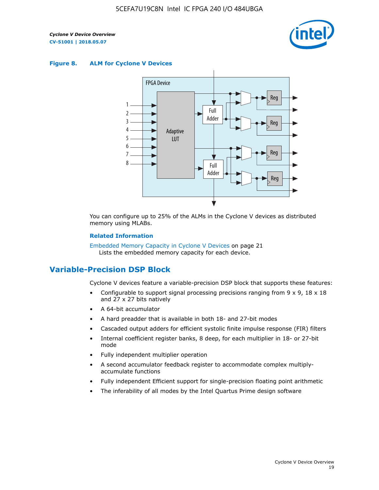

#### **Figure 8. ALM for Cyclone V Devices**



You can configure up to 25% of the ALMs in the Cyclone V devices as distributed memory using MLABs.

#### **Related Information**

Embedded Memory Capacity in Cyclone V Devices on page 21 Lists the embedded memory capacity for each device.

## **Variable-Precision DSP Block**

Cyclone V devices feature a variable-precision DSP block that supports these features:

- Configurable to support signal processing precisions ranging from  $9 \times 9$ ,  $18 \times 18$ and 27 x 27 bits natively
- A 64-bit accumulator
- A hard preadder that is available in both 18- and 27-bit modes
- Cascaded output adders for efficient systolic finite impulse response (FIR) filters
- Internal coefficient register banks, 8 deep, for each multiplier in 18- or 27-bit mode
- Fully independent multiplier operation
- A second accumulator feedback register to accommodate complex multiplyaccumulate functions
- Fully independent Efficient support for single-precision floating point arithmetic
- The inferability of all modes by the Intel Quartus Prime design software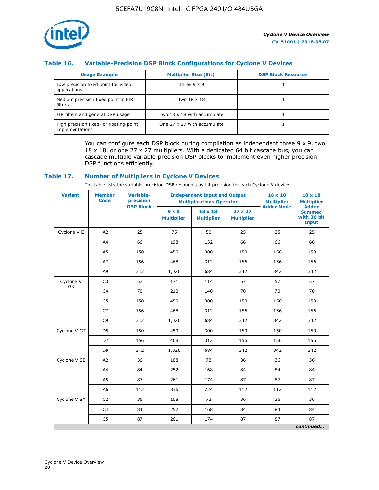

#### **Table 16. Variable-Precision DSP Block Configurations for Cyclone V Devices**

| <b>Usage Example</b>                                       | <b>Multiplier Size (Bit)</b> | <b>DSP Block Resource</b> |
|------------------------------------------------------------|------------------------------|---------------------------|
| Low precision fixed point for video<br>applications        | Three $9 \times 9$           |                           |
| Medium precision fixed point in FIR<br>filters             | Two 18 x 18                  |                           |
| FIR filters and general DSP usage                          | Two 18 x 18 with accumulate  |                           |
| High precision fixed- or floating-point<br>implementations | One 27 x 27 with accumulate  |                           |

You can configure each DSP block during compilation as independent three  $9 \times 9$ , two 18 x 18, or one 27 x 27 multipliers. With a dedicated 64 bit cascade bus, you can cascade multiple variable-precision DSP blocks to implement even higher precision DSP functions efficiently.

#### **Table 17. Number of Multipliers in Cyclone V Devices**

The table lists the variable-precision DSP resources by bit precision for each Cyclone V device.

| <b>Variant</b>         | <b>Member</b><br><b>Code</b> | <b>Variable-</b><br>precision |                                   | <b>Independent Input and Output</b><br><b>Multiplications Operator</b> | $18 \times 18$<br><b>Multiplier</b> | $18 \times 18$<br><b>Multiplier</b> |                                                              |
|------------------------|------------------------------|-------------------------------|-----------------------------------|------------------------------------------------------------------------|-------------------------------------|-------------------------------------|--------------------------------------------------------------|
|                        |                              | <b>DSP Block</b>              | $9 \times 9$<br><b>Multiplier</b> | $18 \times 18$<br><b>Multiplier</b>                                    | $27 \times 27$<br><b>Multiplier</b> | <b>Adder Mode</b>                   | <b>Adder</b><br><b>Summed</b><br>with 36 bit<br><b>Input</b> |
| Cyclone V E            | A2                           | 25                            | 75                                | 50                                                                     | 25                                  | 25                                  | 25                                                           |
|                        | A4                           | 66                            | 198                               | 132                                                                    | 66                                  | 66                                  | 66                                                           |
|                        | A5                           | 150                           | 450                               | 300                                                                    | 150                                 | 150                                 | 150                                                          |
|                        | A7                           | 156                           | 468                               | 312                                                                    | 156                                 | 156                                 | 156                                                          |
|                        | A9                           | 342                           | 1,026                             | 684                                                                    | 342                                 | 342                                 | 342                                                          |
| Cyclone V<br><b>GX</b> | C <sub>3</sub>               | 57                            | 171                               | 114                                                                    | 57                                  | 57                                  | 57                                                           |
|                        | C <sub>4</sub>               | 70                            | 210                               | 140                                                                    | 70                                  | 70                                  | 70                                                           |
|                        | C <sub>5</sub>               | 150                           | 450                               | 300                                                                    | 150                                 | 150                                 | 150                                                          |
|                        | C <sub>7</sub>               | 156                           | 468                               | 312                                                                    | 156                                 | 156                                 | 156                                                          |
|                        | C <sub>9</sub>               | 342                           | 1,026                             | 684                                                                    | 342                                 | 342                                 | 342                                                          |
| Cyclone V GT           | D <sub>5</sub>               | 150                           | 450                               | 300                                                                    | 150                                 | 150                                 | 150                                                          |
|                        | D7                           | 156                           | 468                               | 312                                                                    | 156                                 | 156                                 | 156                                                          |
|                        | D <sub>9</sub>               | 342                           | 1,026                             | 684                                                                    | 342                                 | 342                                 | 342                                                          |
| Cyclone V SE           | A <sub>2</sub>               | 36                            | 108                               | 72                                                                     | 36                                  | 36                                  | 36                                                           |
|                        | A4                           | 84                            | 252                               | 168                                                                    | 84                                  | 84                                  | 84                                                           |
|                        | A5                           | 87                            | 261                               | 174                                                                    | 87                                  | 87                                  | 87                                                           |
|                        | A <sub>6</sub>               | 112                           | 336                               | 224                                                                    | 112                                 | 112                                 | 112                                                          |
| Cyclone V SX           | C <sub>2</sub>               | 36                            | 108                               | 72                                                                     | 36                                  | 36                                  | 36                                                           |
|                        | C <sub>4</sub>               | 84                            | 252                               | 168                                                                    | 84                                  | 84                                  | 84                                                           |
|                        | C <sub>5</sub>               | 87                            | 261                               | 174                                                                    | 87                                  | 87                                  | 87                                                           |
|                        |                              |                               |                                   |                                                                        |                                     |                                     | continued                                                    |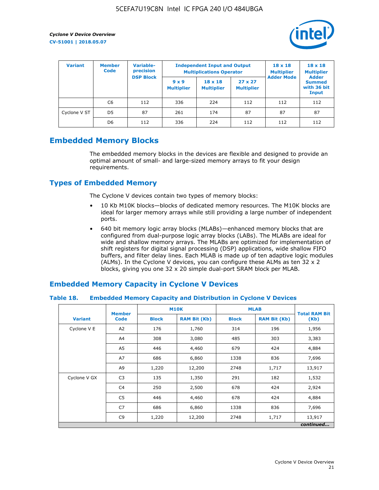

| <b>Variant</b> | <b>Variable-</b><br><b>Member</b><br>precision<br><b>Code</b> |                  | <b>Independent Input and Output</b><br><b>Multiplications Operator</b> | $18 \times 18$<br><b>Multiplier</b> | $18 \times 18$<br><b>Multiplier</b><br><b>Adder</b> |                   |                                       |
|----------------|---------------------------------------------------------------|------------------|------------------------------------------------------------------------|-------------------------------------|-----------------------------------------------------|-------------------|---------------------------------------|
|                |                                                               | <b>DSP Block</b> | $9 \times 9$<br><b>Multiplier</b>                                      | $18 \times 18$<br><b>Multiplier</b> | $27 \times 27$<br><b>Multiplier</b>                 | <b>Adder Mode</b> | <b>Summed</b><br>with 36 bit<br>Input |
|                | C6                                                            | 112              | 336                                                                    | 224                                 | 112                                                 | 112               | 112                                   |
| Cyclone V ST   | D <sub>5</sub>                                                | 87               | 261                                                                    | 174                                 | 87                                                  | 87                | 87                                    |
|                | D <sub>6</sub>                                                | 112              | 336                                                                    | 224                                 | 112                                                 | 112               | 112                                   |

## **Embedded Memory Blocks**

The embedded memory blocks in the devices are flexible and designed to provide an optimal amount of small- and large-sized memory arrays to fit your design requirements.

## **Types of Embedded Memory**

The Cyclone V devices contain two types of memory blocks:

- 10 Kb M10K blocks—blocks of dedicated memory resources. The M10K blocks are ideal for larger memory arrays while still providing a large number of independent ports.
- 640 bit memory logic array blocks (MLABs)—enhanced memory blocks that are configured from dual-purpose logic array blocks (LABs). The MLABs are ideal for wide and shallow memory arrays. The MLABs are optimized for implementation of shift registers for digital signal processing (DSP) applications, wide shallow FIFO buffers, and filter delay lines. Each MLAB is made up of ten adaptive logic modules (ALMs). In the Cyclone V devices, you can configure these ALMs as ten 32 x 2 blocks, giving you one 32 x 20 simple dual-port SRAM block per MLAB.

## **Embedded Memory Capacity in Cyclone V Devices**

#### **Table 18. Embedded Memory Capacity and Distribution in Cyclone V Devices**

|                | <b>Member</b>  | <b>M10K</b>                         |        | <b>MLAB</b>  | <b>Total RAM Bit</b> |        |  |  |  |
|----------------|----------------|-------------------------------------|--------|--------------|----------------------|--------|--|--|--|
| <b>Variant</b> | <b>Code</b>    | <b>Block</b><br><b>RAM Bit (Kb)</b> |        | <b>Block</b> | <b>RAM Bit (Kb)</b>  | (Kb)   |  |  |  |
| Cyclone V E    | A2             | 176                                 | 1,760  | 314          | 196                  | 1,956  |  |  |  |
|                | A4             | 308                                 | 3,080  | 485          | 303                  | 3,383  |  |  |  |
|                | A5             | 446                                 | 4,460  | 679          | 424                  | 4,884  |  |  |  |
|                | A7             | 686                                 | 6,860  | 1338         | 836                  | 7,696  |  |  |  |
|                | A9             | 1,220                               | 12,200 | 2748         | 1,717                | 13,917 |  |  |  |
| Cyclone V GX   | C <sub>3</sub> | 135                                 | 1,350  | 291          | 182                  | 1,532  |  |  |  |
|                | C4             | 250                                 | 2,500  | 678          | 424                  | 2,924  |  |  |  |
|                | C5             | 446                                 | 4,460  | 678          | 424                  | 4,884  |  |  |  |
|                | C7             | 686                                 | 6,860  | 1338         | 836                  | 7,696  |  |  |  |
|                | C <sub>9</sub> | 1,220                               | 12,200 | 2748         | 1,717                | 13,917 |  |  |  |
|                | continued      |                                     |        |              |                      |        |  |  |  |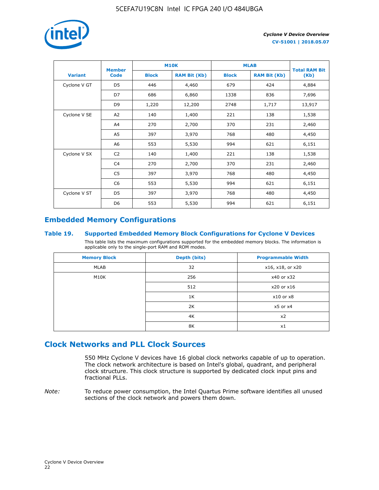

|                | <b>Member</b>  |              | <b>M10K</b>         | <b>MLAB</b>  | <b>Total RAM Bit</b> |        |
|----------------|----------------|--------------|---------------------|--------------|----------------------|--------|
| <b>Variant</b> | <b>Code</b>    | <b>Block</b> | <b>RAM Bit (Kb)</b> | <b>Block</b> | <b>RAM Bit (Kb)</b>  | (Kb)   |
| Cyclone V GT   | D <sub>5</sub> | 446          | 4,460               | 679          | 424                  | 4,884  |
|                | D7             | 686          | 6,860               | 1338         | 836                  | 7,696  |
|                | D <sub>9</sub> | 1,220        | 12,200              | 2748         | 1,717                | 13,917 |
| Cyclone V SE   | A2             | 140          | 1,400               | 221          | 138                  | 1,538  |
|                | A4             | 270          | 2,700               | 370          | 231                  | 2,460  |
|                | A5             | 397          | 3,970               | 768          | 480                  | 4,450  |
|                | A6             | 553          | 5,530               | 994          | 621                  | 6,151  |
| Cyclone V SX   | C <sub>2</sub> | 140          | 1,400               | 221          | 138                  | 1,538  |
|                | C <sub>4</sub> | 270          | 2,700               | 370          | 231                  | 2,460  |
|                | C <sub>5</sub> | 397          | 3,970               | 768          | 480                  | 4,450  |
|                | C <sub>6</sub> | 553          | 5,530               | 994          | 621                  | 6,151  |
| Cyclone V ST   | D <sub>5</sub> | 397          | 3,970               | 768          | 480                  | 4,450  |
|                | D <sub>6</sub> | 553          | 5,530               | 994          | 621                  | 6,151  |

## **Embedded Memory Configurations**

#### **Table 19. Supported Embedded Memory Block Configurations for Cyclone V Devices**

This table lists the maximum configurations supported for the embedded memory blocks. The information is applicable only to the single-port RAM and ROM modes.

| <b>Memory Block</b> | Depth (bits) | <b>Programmable Width</b> |  |  |
|---------------------|--------------|---------------------------|--|--|
| MLAB                | 32           | x16, x18, or x20          |  |  |
| M10K                | 256          | x40 or x32                |  |  |
|                     | 512          | x20 or x16                |  |  |
|                     | 1K           | $x10$ or $x8$             |  |  |
|                     | 2K           | $x5$ or $x4$              |  |  |
|                     | 4K           | x2                        |  |  |
|                     | 8K           | x1                        |  |  |

## **Clock Networks and PLL Clock Sources**

550 MHz Cyclone V devices have 16 global clock networks capable of up to operation. The clock network architecture is based on Intel's global, quadrant, and peripheral clock structure. This clock structure is supported by dedicated clock input pins and fractional PLLs.

*Note:* To reduce power consumption, the Intel Quartus Prime software identifies all unused sections of the clock network and powers them down.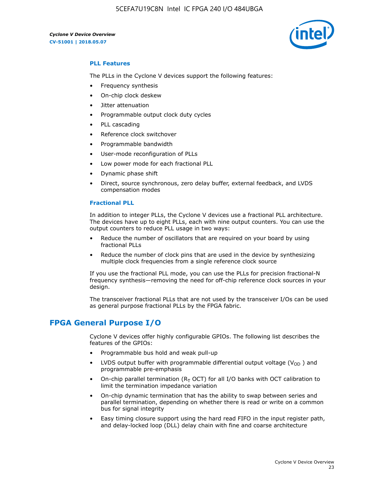5CEFA7U19C8N Intel IC FPGA 240 I/O 484UBGA



#### **PLL Features**

The PLLs in the Cyclone V devices support the following features:

- Frequency synthesis
- On-chip clock deskew
- Jitter attenuation
- Programmable output clock duty cycles
- PLL cascading
- Reference clock switchover
- Programmable bandwidth
- User-mode reconfiguration of PLLs
- Low power mode for each fractional PLL
- Dynamic phase shift
- Direct, source synchronous, zero delay buffer, external feedback, and LVDS compensation modes

#### **Fractional PLL**

In addition to integer PLLs, the Cyclone V devices use a fractional PLL architecture. The devices have up to eight PLLs, each with nine output counters. You can use the output counters to reduce PLL usage in two ways:

- Reduce the number of oscillators that are required on your board by using fractional PLLs
- Reduce the number of clock pins that are used in the device by synthesizing multiple clock frequencies from a single reference clock source

If you use the fractional PLL mode, you can use the PLLs for precision fractional-N frequency synthesis—removing the need for off-chip reference clock sources in your design.

The transceiver fractional PLLs that are not used by the transceiver I/Os can be used as general purpose fractional PLLs by the FPGA fabric.

## **FPGA General Purpose I/O**

Cyclone V devices offer highly configurable GPIOs. The following list describes the features of the GPIOs:

- Programmable bus hold and weak pull-up
- LVDS output buffer with programmable differential output voltage ( $V_{OD}$ ) and programmable pre-emphasis
- On-chip parallel termination ( $R<sub>T</sub>$  OCT) for all I/O banks with OCT calibration to limit the termination impedance variation
- On-chip dynamic termination that has the ability to swap between series and parallel termination, depending on whether there is read or write on a common bus for signal integrity
- Easy timing closure support using the hard read FIFO in the input register path, and delay-locked loop (DLL) delay chain with fine and coarse architecture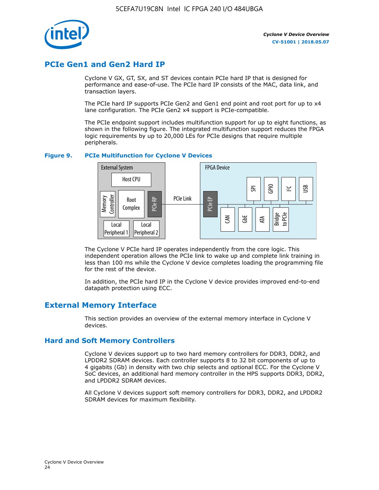

## **PCIe Gen1 and Gen2 Hard IP**

Cyclone V GX, GT, SX, and ST devices contain PCIe hard IP that is designed for performance and ease-of-use. The PCIe hard IP consists of the MAC, data link, and transaction layers.

The PCIe hard IP supports PCIe Gen2 and Gen1 end point and root port for up to x4 lane configuration. The PCIe Gen2 x4 support is PCIe-compatible.

The PCIe endpoint support includes multifunction support for up to eight functions, as shown in the following figure. The integrated multifunction support reduces the FPGA logic requirements by up to 20,000 LEs for PCIe designs that require multiple peripherals.

#### **Figure 9. PCIe Multifunction for Cyclone V Devices**



The Cyclone V PCIe hard IP operates independently from the core logic. This independent operation allows the PCIe link to wake up and complete link training in less than 100 ms while the Cyclone V device completes loading the programming file for the rest of the device.

In addition, the PCIe hard IP in the Cyclone V device provides improved end-to-end datapath protection using ECC.

## **External Memory Interface**

This section provides an overview of the external memory interface in Cyclone V devices.

#### **Hard and Soft Memory Controllers**

Cyclone V devices support up to two hard memory controllers for DDR3, DDR2, and LPDDR2 SDRAM devices. Each controller supports 8 to 32 bit components of up to 4 gigabits (Gb) in density with two chip selects and optional ECC. For the Cyclone V SoC devices, an additional hard memory controller in the HPS supports DDR3, DDR2, and LPDDR2 SDRAM devices.

All Cyclone V devices support soft memory controllers for DDR3, DDR2, and LPDDR2 SDRAM devices for maximum flexibility.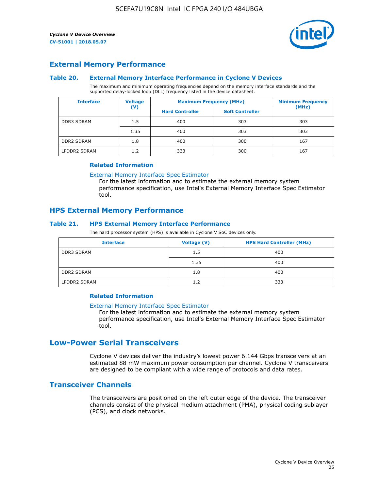

#### **External Memory Performance**

#### **Table 20. External Memory Interface Performance in Cyclone V Devices**

The maximum and minimum operating frequencies depend on the memory interface standards and the supported delay-locked loop (DLL) frequency listed in the device datasheet.

| <b>Voltage</b><br><b>Interface</b> |                | <b>Maximum Frequency (MHz)</b> | <b>Minimum Frequency</b> |       |  |
|------------------------------------|----------------|--------------------------------|--------------------------|-------|--|
|                                    | $(\mathsf{V})$ | <b>Hard Controller</b>         | <b>Soft Controller</b>   | (MHz) |  |
| <b>DDR3 SDRAM</b>                  | 1.5            | 400                            | 303                      | 303   |  |
|                                    | 1.35           | 400                            | 303                      | 303   |  |
| <b>DDR2 SDRAM</b>                  | 1.8            | 400                            | 300                      | 167   |  |
| LPDDR2 SDRAM                       | 1.2            | 333                            | 300                      | 167   |  |

#### **Related Information**

[External Memory Interface Spec Estimator](https://www.altera.com/solutions/technology/external-memory/spec-estimator.html)

For the latest information and to estimate the external memory system performance specification, use Intel's External Memory Interface Spec Estimator tool.

#### **HPS External Memory Performance**

#### **Table 21. HPS External Memory Interface Performance**

The hard processor system (HPS) is available in Cyclone V SoC devices only.

| <b>Interface</b>  | Voltage (V) | <b>HPS Hard Controller (MHz)</b> |
|-------------------|-------------|----------------------------------|
| DDR3 SDRAM        | 1.5         | 400                              |
|                   | 1.35        | 400                              |
| <b>DDR2 SDRAM</b> | 1.8         | 400                              |
| LPDDR2 SDRAM      | 1.2         | 333                              |

#### **Related Information**

#### [External Memory Interface Spec Estimator](https://www.altera.com/solutions/technology/external-memory/spec-estimator.html)

For the latest information and to estimate the external memory system performance specification, use Intel's External Memory Interface Spec Estimator tool.

## **Low-Power Serial Transceivers**

Cyclone V devices deliver the industry's lowest power 6.144 Gbps transceivers at an estimated 88 mW maximum power consumption per channel. Cyclone V transceivers are designed to be compliant with a wide range of protocols and data rates.

#### **Transceiver Channels**

The transceivers are positioned on the left outer edge of the device. The transceiver channels consist of the physical medium attachment (PMA), physical coding sublayer (PCS), and clock networks.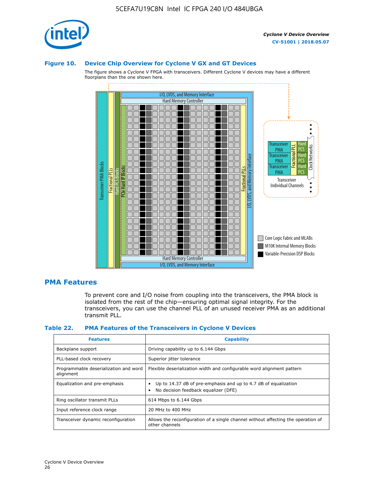

#### **Figure 10. Device Chip Overview for Cyclone V GX and GT Devices**

The figure shows a Cyclone V FPGA with transceivers. Different Cyclone V devices may have a different floorplans than the one shown here.



#### **PMA Features**

To prevent core and I/O noise from coupling into the transceivers, the PMA block is isolated from the rest of the chip—ensuring optimal signal integrity. For the transceivers, you can use the channel PLL of an unused receiver PMA as an additional transmit PLL.

#### **Table 22. PMA Features of the Transceivers in Cyclone V Devices**

| <b>Features</b>                                    | <b>Capability</b>                                                                                       |
|----------------------------------------------------|---------------------------------------------------------------------------------------------------------|
| Backplane support                                  | Driving capability up to 6.144 Gbps                                                                     |
| PLL-based clock recovery                           | Superior jitter tolerance                                                                               |
| Programmable deserialization and word<br>alignment | Flexible deserialization width and configurable word alignment pattern                                  |
| Equalization and pre-emphasis                      | Up to 14.37 dB of pre-emphasis and up to 4.7 dB of equalization<br>No decision feedback equalizer (DFE) |
| Ring oscillator transmit PLLs                      | 614 Mbps to 6.144 Gbps                                                                                  |
| Input reference clock range                        | 20 MHz to 400 MHz                                                                                       |
| Transceiver dynamic reconfiguration                | Allows the reconfiguration of a single channel without affecting the operation of<br>other channels     |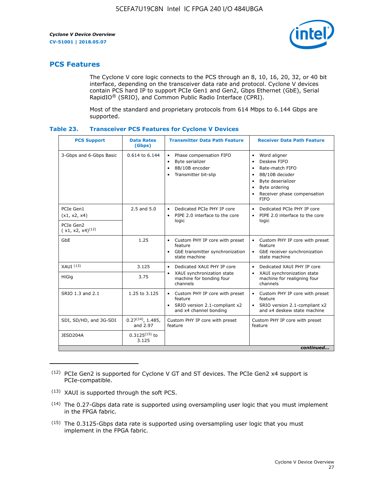

## **PCS Features**

The Cyclone V core logic connects to the PCS through an 8, 10, 16, 20, 32, or 40 bit interface, depending on the transceiver data rate and protocol. Cyclone V devices contain PCS hard IP to support PCIe Gen1 and Gen2, Gbps Ethernet (GbE), Serial RapidIO® (SRIO), and Common Public Radio Interface (CPRI).

Most of the standard and proprietary protocols from 614 Mbps to 6.144 Gbps are supported.

| Table 23. | <b>Transceiver PCS Features for Cyclone V Devices</b> |  |  |
|-----------|-------------------------------------------------------|--|--|
|           |                                                       |  |  |

| <b>PCS Support</b>                 | <b>Data Rates</b><br>(Gbps)        | <b>Transmitter Data Path Feature</b>                                                                           | <b>Receiver Data Path Feature</b>                                                                                                                                                                                                  |  |  |
|------------------------------------|------------------------------------|----------------------------------------------------------------------------------------------------------------|------------------------------------------------------------------------------------------------------------------------------------------------------------------------------------------------------------------------------------|--|--|
| 3-Gbps and 6-Gbps Basic            | 0.614 to 6.144                     | Phase compensation FIFO<br>$\bullet$<br>Byte serializer<br>8B/10B encoder<br>Transmitter bit-slip<br>$\bullet$ | Word aligner<br>$\bullet$<br>Deskew FIFO<br>$\bullet$<br>Rate-match FIFO<br>$\bullet$<br>8B/10B decoder<br>$\bullet$<br>Byte deserializer<br>$\bullet$<br>Byte ordering<br>$\bullet$<br>Receiver phase compensation<br><b>FIFO</b> |  |  |
| PCIe Gen1<br>(x1, x2, x4)          | $2.5$ and $5.0$                    | Dedicated PCIe PHY IP core<br>PIPE 2.0 interface to the core<br>$\bullet$<br>logic                             | Dedicated PCIe PHY IP core<br>$\bullet$<br>PIPE 2.0 interface to the core<br>$\bullet$<br>logic                                                                                                                                    |  |  |
| PCIe Gen2<br>$(x1, x2, x4)^{(12)}$ |                                    |                                                                                                                |                                                                                                                                                                                                                                    |  |  |
| GbE                                | 1.25                               | • Custom PHY IP core with preset<br>feature<br>GbE transmitter synchronization<br>$\bullet$<br>state machine   | Custom PHY IP core with preset<br>feature<br>GbE receiver synchronization<br>state machine                                                                                                                                         |  |  |
| $XAlJI$ $(13)$                     | 3.125                              | Dedicated XAUI PHY IP core<br>$\bullet$                                                                        | Dedicated XAUI PHY IP core<br>$\bullet$                                                                                                                                                                                            |  |  |
| <b>HiGig</b>                       | 3.75                               | XAUI synchronization state<br>$\bullet$<br>machine for bonding four<br>channels                                | XAUI synchronization state<br>$\bullet$<br>machine for realigning four<br>channels                                                                                                                                                 |  |  |
| SRIO 1.3 and 2.1                   | 1.25 to 3.125                      | • Custom PHY IP core with preset<br>feature<br>• SRIO version 2.1-compliant x2<br>and x4 channel bonding       | • Custom PHY IP core with preset<br>feature<br>• SRIO version 2.1-compliant x2<br>and x4 deskew state machine                                                                                                                      |  |  |
| SDI, SD/HD, and 3G-SDI             | $0.27^{(14)}$ , 1.485,<br>and 2.97 | Custom PHY IP core with preset<br>feature                                                                      | Custom PHY IP core with preset<br>feature                                                                                                                                                                                          |  |  |
| JESD204A                           | $0.3125^{(15)}$ to<br>3.125        |                                                                                                                |                                                                                                                                                                                                                                    |  |  |
| continued                          |                                    |                                                                                                                |                                                                                                                                                                                                                                    |  |  |

<sup>(12)</sup> PCIe Gen2 is supported for Cyclone V GT and ST devices. The PCIe Gen2 x4 support is PCIe-compatible.

<sup>(13)</sup> XAUI is supported through the soft PCS.

<sup>(14)</sup> The 0.27-Gbps data rate is supported using oversampling user logic that you must implement in the FPGA fabric.

<sup>(15)</sup> The 0.3125-Gbps data rate is supported using oversampling user logic that you must implement in the FPGA fabric.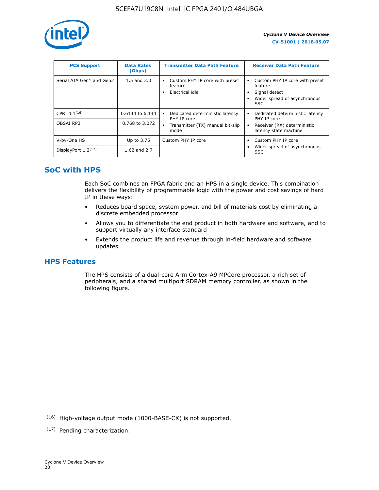

| <b>PCS Support</b>       | <b>Data Rates</b><br>(Gbps) | <b>Transmitter Data Path Feature</b>                         | <b>Receiver Data Path Feature</b>                                                                  |
|--------------------------|-----------------------------|--------------------------------------------------------------|----------------------------------------------------------------------------------------------------|
| Serial ATA Gen1 and Gen2 | $1.5$ and $3.0$             | Custom PHY IP core with preset<br>feature<br>Electrical idle | Custom PHY IP core with preset<br>feature<br>Signal detect<br>Wider spread of asynchronous<br>SSC. |
| CPRI 4.1 $(16)$          | 0.6144 to 6.144             | Dedicated deterministic latency<br>٠<br>PHY IP core          | Dedicated deterministic latency<br>PHY IP core                                                     |
| OBSAI RP3                | 0.768 to 3.072              | Transmitter (TX) manual bit-slip<br>mode                     | Receiver (RX) deterministic<br>latency state machine                                               |
| V-by-One HS              | Up to 3.75                  | Custom PHY IP core                                           | Custom PHY IP core                                                                                 |
| DisplayPort $1.2^{(17)}$ | 1.62 and $2.7$              |                                                              | Wider spread of asynchronous<br><b>SSC</b>                                                         |

## **SoC with HPS**

Each SoC combines an FPGA fabric and an HPS in a single device. This combination delivers the flexibility of programmable logic with the power and cost savings of hard IP in these ways:

- Reduces board space, system power, and bill of materials cost by eliminating a discrete embedded processor
- Allows you to differentiate the end product in both hardware and software, and to support virtually any interface standard
- Extends the product life and revenue through in-field hardware and software updates

## **HPS Features**

The HPS consists of a dual-core Arm Cortex-A9 MPCore processor, a rich set of peripherals, and a shared multiport SDRAM memory controller, as shown in the following figure.

<sup>(16)</sup> High-voltage output mode (1000-BASE-CX) is not supported.

<sup>(17)</sup> Pending characterization.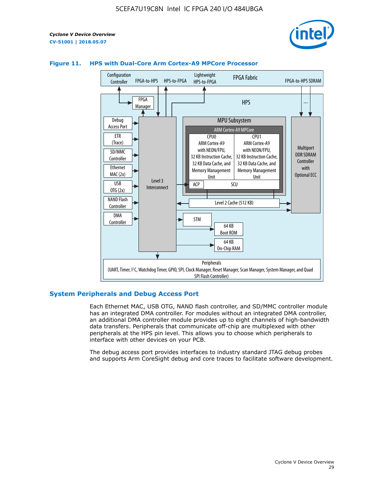



#### **Figure 11. HPS with Dual-Core Arm Cortex-A9 MPCore Processor**

#### **System Peripherals and Debug Access Port**

Each Ethernet MAC, USB OTG, NAND flash controller, and SD/MMC controller module has an integrated DMA controller. For modules without an integrated DMA controller, an additional DMA controller module provides up to eight channels of high-bandwidth data transfers. Peripherals that communicate off-chip are multiplexed with other peripherals at the HPS pin level. This allows you to choose which peripherals to interface with other devices on your PCB.

The debug access port provides interfaces to industry standard JTAG debug probes and supports Arm CoreSight debug and core traces to facilitate software development.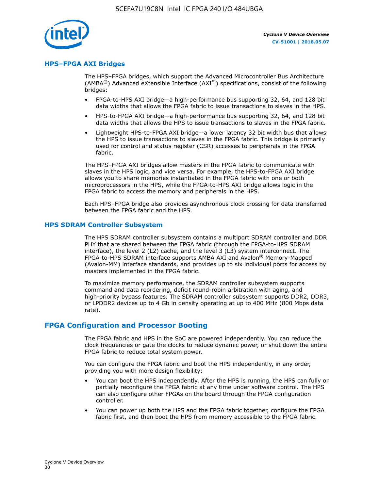

#### **HPS–FPGA AXI Bridges**

The HPS–FPGA bridges, which support the Advanced Microcontroller Bus Architecture (AMBA<sup>®</sup>) Advanced eXtensible Interface (AXI<sup>™</sup>) specifications, consist of the following bridges:

- FPGA-to-HPS AXI bridge—a high-performance bus supporting 32, 64, and 128 bit data widths that allows the FPGA fabric to issue transactions to slaves in the HPS.
- HPS-to-FPGA AXI bridge—a high-performance bus supporting 32, 64, and 128 bit data widths that allows the HPS to issue transactions to slaves in the FPGA fabric.
- Lightweight HPS-to-FPGA AXI bridge—a lower latency 32 bit width bus that allows the HPS to issue transactions to slaves in the FPGA fabric. This bridge is primarily used for control and status register (CSR) accesses to peripherals in the FPGA fabric.

The HPS–FPGA AXI bridges allow masters in the FPGA fabric to communicate with slaves in the HPS logic, and vice versa. For example, the HPS-to-FPGA AXI bridge allows you to share memories instantiated in the FPGA fabric with one or both microprocessors in the HPS, while the FPGA-to-HPS AXI bridge allows logic in the FPGA fabric to access the memory and peripherals in the HPS.

Each HPS–FPGA bridge also provides asynchronous clock crossing for data transferred between the FPGA fabric and the HPS.

#### **HPS SDRAM Controller Subsystem**

The HPS SDRAM controller subsystem contains a multiport SDRAM controller and DDR PHY that are shared between the FPGA fabric (through the FPGA-to-HPS SDRAM interface), the level 2 (L2) cache, and the level 3 (L3) system interconnect. The FPGA-to-HPS SDRAM interface supports AMBA AXI and Avalon® Memory-Mapped (Avalon-MM) interface standards, and provides up to six individual ports for access by masters implemented in the FPGA fabric.

To maximize memory performance, the SDRAM controller subsystem supports command and data reordering, deficit round-robin arbitration with aging, and high-priority bypass features. The SDRAM controller subsystem supports DDR2, DDR3, or LPDDR2 devices up to 4 Gb in density operating at up to 400 MHz (800 Mbps data rate).

#### **FPGA Configuration and Processor Booting**

The FPGA fabric and HPS in the SoC are powered independently. You can reduce the clock frequencies or gate the clocks to reduce dynamic power, or shut down the entire FPGA fabric to reduce total system power.

You can configure the FPGA fabric and boot the HPS independently, in any order, providing you with more design flexibility:

- You can boot the HPS independently. After the HPS is running, the HPS can fully or partially reconfigure the FPGA fabric at any time under software control. The HPS can also configure other FPGAs on the board through the FPGA configuration controller.
- You can power up both the HPS and the FPGA fabric together, configure the FPGA fabric first, and then boot the HPS from memory accessible to the FPGA fabric.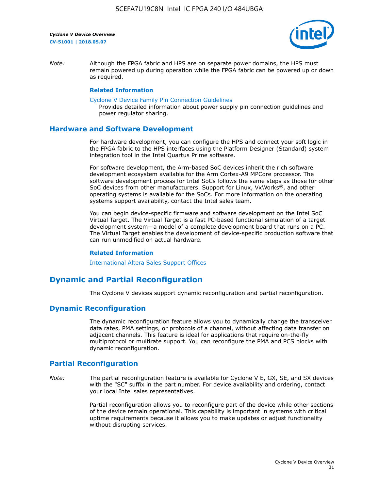

*Note:* Although the FPGA fabric and HPS are on separate power domains, the HPS must remain powered up during operation while the FPGA fabric can be powered up or down as required.

#### **Related Information**

[Cyclone V Device Family Pin Connection Guidelines](https://www.altera.com/content/dam/altera-www/global/en_US/pdfs/literature/dp/cyclone-v/pcg-01014.pdf)

Provides detailed information about power supply pin connection guidelines and power regulator sharing.

#### **Hardware and Software Development**

For hardware development, you can configure the HPS and connect your soft logic in the FPGA fabric to the HPS interfaces using the Platform Designer (Standard) system integration tool in the Intel Quartus Prime software.

For software development, the Arm-based SoC devices inherit the rich software development ecosystem available for the Arm Cortex-A9 MPCore processor. The software development process for Intel SoCs follows the same steps as those for other SoC devices from other manufacturers. Support for Linux, VxWorks®, and other operating systems is available for the SoCs. For more information on the operating systems support availability, contact the Intel sales team.

You can begin device-specific firmware and software development on the Intel SoC Virtual Target. The Virtual Target is a fast PC-based functional simulation of a target development system—a model of a complete development board that runs on a PC. The Virtual Target enables the development of device-specific production software that can run unmodified on actual hardware.

#### **Related Information**

[International Altera Sales Support Offices](https://www.altera.com/about/contact/contact/international-altera-sales-offices.html)

## **Dynamic and Partial Reconfiguration**

The Cyclone V devices support dynamic reconfiguration and partial reconfiguration.

#### **Dynamic Reconfiguration**

The dynamic reconfiguration feature allows you to dynamically change the transceiver data rates, PMA settings, or protocols of a channel, without affecting data transfer on adjacent channels. This feature is ideal for applications that require on-the-fly multiprotocol or multirate support. You can reconfigure the PMA and PCS blocks with dynamic reconfiguration.

## **Partial Reconfiguration**

*Note:* The partial reconfiguration feature is available for Cyclone V E, GX, SE, and SX devices with the "SC" suffix in the part number. For device availability and ordering, contact your local Intel sales representatives.

> Partial reconfiguration allows you to reconfigure part of the device while other sections of the device remain operational. This capability is important in systems with critical uptime requirements because it allows you to make updates or adjust functionality without disrupting services.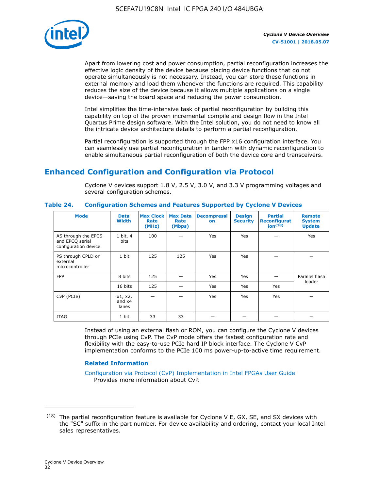

Apart from lowering cost and power consumption, partial reconfiguration increases the effective logic density of the device because placing device functions that do not operate simultaneously is not necessary. Instead, you can store these functions in external memory and load them whenever the functions are required. This capability reduces the size of the device because it allows multiple applications on a single device—saving the board space and reducing the power consumption.

Intel simplifies the time-intensive task of partial reconfiguration by building this capability on top of the proven incremental compile and design flow in the Intel Quartus Prime design software. With the Intel solution, you do not need to know all the intricate device architecture details to perform a partial reconfiguration.

Partial reconfiguration is supported through the FPP x16 configuration interface. You can seamlessly use partial reconfiguration in tandem with dynamic reconfiguration to enable simultaneous partial reconfiguration of both the device core and transceivers.

## **Enhanced Configuration and Configuration via Protocol**

Cyclone V devices support 1.8 V, 2.5 V, 3.0 V, and 3.3 V programming voltages and several configuration schemes.

| <b>Mode</b>                                                    | <b>Data</b><br>Width         | Max Clock  <br>Rate<br>(MHz) | <b>Max Data</b><br>Rate<br>(Mbps) | <b>Decompressi</b><br>on | <b>Design</b><br><b>Security</b> | <b>Partial</b><br><b>Reconfigurat</b><br>ion <sup>(18)</sup> | <b>Remote</b><br><b>System</b><br><b>Update</b> |
|----------------------------------------------------------------|------------------------------|------------------------------|-----------------------------------|--------------------------|----------------------------------|--------------------------------------------------------------|-------------------------------------------------|
| AS through the EPCS<br>and EPCQ serial<br>configuration device | 1 bit, 4<br>bits             | 100                          |                                   | Yes                      | <b>Yes</b>                       |                                                              | Yes                                             |
| PS through CPLD or<br>external<br>microcontroller              | 1 bit                        | 125                          | 125                               | Yes                      | <b>Yes</b>                       |                                                              |                                                 |
| <b>FPP</b>                                                     | 8 bits                       | 125                          |                                   | Yes                      | <b>Yes</b>                       |                                                              | Parallel flash<br>loader                        |
|                                                                | 16 bits                      | 125                          |                                   | Yes                      | <b>Yes</b>                       | Yes                                                          |                                                 |
| CvP (PCIe)                                                     | x1, x2,<br>and $x4$<br>lanes |                              |                                   | Yes                      | <b>Yes</b>                       | Yes                                                          |                                                 |
| <b>JTAG</b>                                                    | 1 bit                        | 33                           | 33                                |                          |                                  |                                                              |                                                 |

**Table 24. Configuration Schemes and Features Supported by Cyclone V Devices**

Instead of using an external flash or ROM, you can configure the Cyclone V devices through PCIe using CvP. The CvP mode offers the fastest configuration rate and flexibility with the easy-to-use PCIe hard IP block interface. The Cyclone V CvP implementation conforms to the PCIe 100 ms power-up-to-active time requirement.

#### **Related Information**

[Configuration via Protocol \(CvP\) Implementation in Intel FPGAs User Guide](https://www.altera.com/documentation/nik1412546950394.html#nik1412546833714) Provides more information about CvP.

 $(18)$  The partial reconfiguration feature is available for Cyclone V E, GX, SE, and SX devices with the "SC" suffix in the part number. For device availability and ordering, contact your local Intel sales representatives.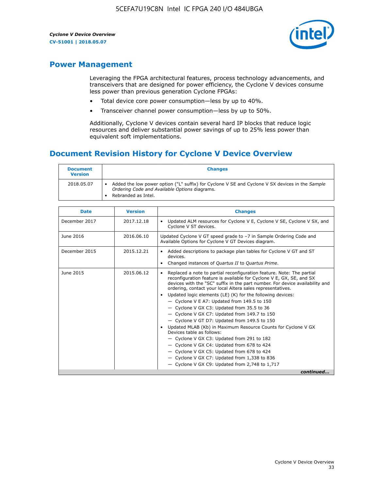

## **Power Management**

Leveraging the FPGA architectural features, process technology advancements, and transceivers that are designed for power efficiency, the Cyclone V devices consume less power than previous generation Cyclone FPGAs:

- Total device core power consumption—less by up to 40%.
- Transceiver channel power consumption—less by up to 50%.

Additionally, Cyclone V devices contain several hard IP blocks that reduce logic resources and deliver substantial power savings of up to 25% less power than equivalent soft implementations.

## **Document Revision History for Cyclone V Device Overview**

| <b>Document</b><br><b>Version</b> | <b>Changes</b>                                                                                                                                                          |
|-----------------------------------|-------------------------------------------------------------------------------------------------------------------------------------------------------------------------|
| 2018.05.07                        | Added the low power option ("L" suffix) for Cyclone V SE and Cyclone V SX devices in the Sample<br>Ordering Code and Available Options diagrams.<br>Rebranded as Intel. |

| <b>Date</b>   | <b>Version</b> | <b>Changes</b>                                                                                                                                                                                                                                                                                                                                                                                                                                                                                                                                                                                                                                                                                                                                                                                                                                                                                                  |
|---------------|----------------|-----------------------------------------------------------------------------------------------------------------------------------------------------------------------------------------------------------------------------------------------------------------------------------------------------------------------------------------------------------------------------------------------------------------------------------------------------------------------------------------------------------------------------------------------------------------------------------------------------------------------------------------------------------------------------------------------------------------------------------------------------------------------------------------------------------------------------------------------------------------------------------------------------------------|
| December 2017 | 2017.12.18     | Updated ALM resources for Cyclone V E, Cyclone V SE, Cyclone V SX, and<br>Cyclone V ST devices.                                                                                                                                                                                                                                                                                                                                                                                                                                                                                                                                                                                                                                                                                                                                                                                                                 |
| June 2016     | 2016.06.10     | Updated Cyclone V GT speed grade to -7 in Sample Ordering Code and<br>Available Options for Cyclone V GT Devices diagram.                                                                                                                                                                                                                                                                                                                                                                                                                                                                                                                                                                                                                                                                                                                                                                                       |
| December 2015 | 2015.12.21     | Added descriptions to package plan tables for Cyclone V GT and ST<br>devices.<br>Changed instances of Quartus II to Quartus Prime.                                                                                                                                                                                                                                                                                                                                                                                                                                                                                                                                                                                                                                                                                                                                                                              |
| June 2015     | 2015.06.12     | Replaced a note to partial reconfiguration feature. Note: The partial<br>reconfiguration feature is available for Cyclone V E, GX, SE, and SX<br>devices with the "SC" suffix in the part number. For device availability and<br>ordering, contact your local Altera sales representatives.<br>Updated logic elements (LE) (K) for the following devices:<br>$\bullet$<br>- Cyclone V E A7: Updated from 149.5 to 150<br>- Cyclone V GX C3: Updated from 35.5 to 36<br>- Cyclone V GX C7: Updated from 149.7 to 150<br>- Cyclone V GT D7: Updated from 149.5 to 150<br>Updated MLAB (Kb) in Maximum Resource Counts for Cyclone V GX<br>Devices table as follows:<br>- Cyclone V GX C3: Updated from 291 to 182<br>- Cyclone V GX C4: Updated from 678 to 424<br>- Cyclone V GX C5: Updated from 678 to 424<br>- Cyclone V GX C7: Updated from 1,338 to 836<br>$-$ Cyclone V GX C9: Updated from 2,748 to 1,717 |
|               |                | continued                                                                                                                                                                                                                                                                                                                                                                                                                                                                                                                                                                                                                                                                                                                                                                                                                                                                                                       |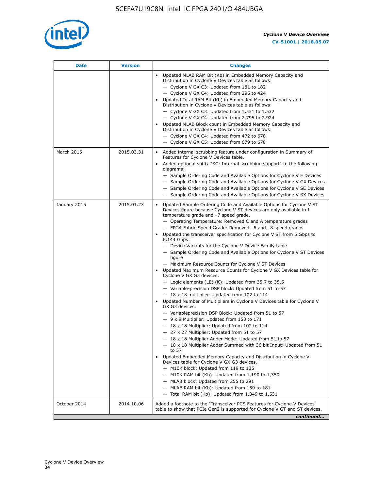

| Date         | <b>Version</b> | <b>Changes</b>                                                                                                                                                                                                                                                                                                                                                                                                                                                                                                                                                                                                                                                                                                                                                                                                                                                                                                                                                                                                                                                                                                                                                                                                                                                                                                                                                                                                                                                                                                                                                                                                                                                                                                  |
|--------------|----------------|-----------------------------------------------------------------------------------------------------------------------------------------------------------------------------------------------------------------------------------------------------------------------------------------------------------------------------------------------------------------------------------------------------------------------------------------------------------------------------------------------------------------------------------------------------------------------------------------------------------------------------------------------------------------------------------------------------------------------------------------------------------------------------------------------------------------------------------------------------------------------------------------------------------------------------------------------------------------------------------------------------------------------------------------------------------------------------------------------------------------------------------------------------------------------------------------------------------------------------------------------------------------------------------------------------------------------------------------------------------------------------------------------------------------------------------------------------------------------------------------------------------------------------------------------------------------------------------------------------------------------------------------------------------------------------------------------------------------|
|              |                | Updated MLAB RAM Bit (Kb) in Embedded Memory Capacity and<br>Distribution in Cyclone V Devices table as follows:<br>- Cyclone V GX C3: Updated from 181 to 182<br>- Cyclone V GX C4: Updated from 295 to 424<br>Updated Total RAM Bit (Kb) in Embedded Memory Capacity and<br>Distribution in Cyclone V Devices table as follows:<br>$-$ Cyclone V GX C3: Updated from 1,531 to 1,532<br>- Cyclone V GX C4: Updated from 2,795 to 2,924<br>Updated MLAB Block count in Embedded Memory Capacity and<br>Distribution in Cyclone V Devices table as follows:<br>- Cyclone V GX C4: Updated from 472 to 678<br>- Cyclone V GX C5: Updated from 679 to 678                                                                                                                                                                                                                                                                                                                                                                                                                                                                                                                                                                                                                                                                                                                                                                                                                                                                                                                                                                                                                                                          |
| March 2015   | 2015.03.31     | Added internal scrubbing feature under configuration in Summary of<br>Features for Cyclone V Devices table.<br>Added optional suffix "SC: Internal scrubbing support" to the following<br>diagrams:<br>- Sample Ordering Code and Available Options for Cyclone V E Devices<br>- Sample Ordering Code and Available Options for Cyclone V GX Devices<br>- Sample Ordering Code and Available Options for Cyclone V SE Devices<br>- Sample Ordering Code and Available Options for Cyclone V SX Devices                                                                                                                                                                                                                                                                                                                                                                                                                                                                                                                                                                                                                                                                                                                                                                                                                                                                                                                                                                                                                                                                                                                                                                                                          |
| January 2015 | 2015.01.23     | Updated Sample Ordering Code and Available Options for Cyclone V ST<br>Devices figure because Cyclone V ST devices are only available in I<br>temperature grade and -7 speed grade.<br>- Operating Temperature: Removed C and A temperature grades<br>- FPGA Fabric Speed Grade: Removed -6 and -8 speed grades<br>Updated the transceiver specification for Cyclone V ST from 5 Gbps to<br>6.144 Gbps:<br>- Device Variants for the Cyclone V Device Family table<br>- Sample Ordering Code and Available Options for Cyclone V ST Devices<br>figure<br>- Maximum Resource Counts for Cyclone V ST Devices<br>• Updated Maximum Resource Counts for Cyclone V GX Devices table for<br>Cyclone V GX G3 devices.<br>$-$ Logic elements (LE) (K): Updated from 35.7 to 35.5<br>- Variable-precision DSP block: Updated from 51 to 57<br>$-18 \times 18$ multiplier: Updated from 102 to 114<br>Updated Number of Multipliers in Cyclone V Devices table for Cyclone V<br>GX G3 devices.<br>- Variableprecision DSP Block: Updated from 51 to 57<br>$-9x9$ Multiplier: Updated from 153 to 171<br>$-18 \times 18$ Multiplier: Updated from 102 to 114<br>- 27 x 27 Multiplier: Updated from 51 to 57<br>- 18 x 18 Multiplier Adder Mode: Updated from 51 to 57<br>$-18 \times 18$ Multiplier Adder Summed with 36 bit Input: Updated from 51<br>to 57<br>Updated Embedded Memory Capacity and Distribution in Cyclone V<br>Devices table for Cyclone V GX G3 devices.<br>- M10K block: Updated from 119 to 135<br>- M10K RAM bit (Kb): Updated from 1,190 to 1,350<br>- MLAB block: Updated from 255 to 291<br>- MLAB RAM bit (Kb): Updated from 159 to 181<br>$-$ Total RAM bit (Kb): Updated from 1,349 to 1,531 |
| October 2014 | 2014.10.06     | Added a footnote to the "Transceiver PCS Features for Cyclone V Devices"<br>table to show that PCIe Gen2 is supported for Cyclone V GT and ST devices.                                                                                                                                                                                                                                                                                                                                                                                                                                                                                                                                                                                                                                                                                                                                                                                                                                                                                                                                                                                                                                                                                                                                                                                                                                                                                                                                                                                                                                                                                                                                                          |
|              |                | continued                                                                                                                                                                                                                                                                                                                                                                                                                                                                                                                                                                                                                                                                                                                                                                                                                                                                                                                                                                                                                                                                                                                                                                                                                                                                                                                                                                                                                                                                                                                                                                                                                                                                                                       |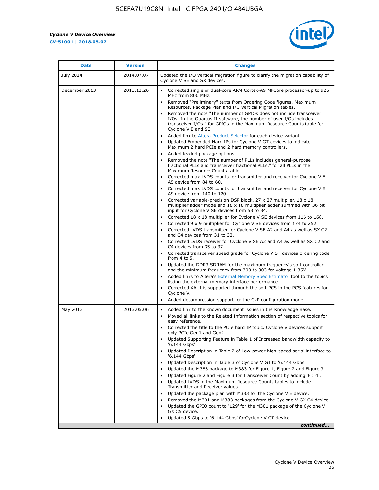r



| July 2014<br>December 2013 | 2014.07.07<br>2013.12.26 | Updated the I/O vertical migration figure to clarify the migration capability of<br>Cyclone V SE and SX devices.                                                                                                                                                                                                                                                                                                                                                                                                                                                                                                                                                                                                                                                                                                                                                                                                                                                                                                                                                                                                                                                                                                                         |
|----------------------------|--------------------------|------------------------------------------------------------------------------------------------------------------------------------------------------------------------------------------------------------------------------------------------------------------------------------------------------------------------------------------------------------------------------------------------------------------------------------------------------------------------------------------------------------------------------------------------------------------------------------------------------------------------------------------------------------------------------------------------------------------------------------------------------------------------------------------------------------------------------------------------------------------------------------------------------------------------------------------------------------------------------------------------------------------------------------------------------------------------------------------------------------------------------------------------------------------------------------------------------------------------------------------|
|                            |                          |                                                                                                                                                                                                                                                                                                                                                                                                                                                                                                                                                                                                                                                                                                                                                                                                                                                                                                                                                                                                                                                                                                                                                                                                                                          |
|                            |                          | Corrected single or dual-core ARM Cortex-A9 MPCore processor-up to 925<br>MHz from 800 MHz.<br>Removed "Preliminary" texts from Ordering Code figures, Maximum<br>Resources, Package Plan and I/O Vertical Migration tables.<br>Removed the note "The number of GPIOs does not include transceiver<br>I/Os. In the Quartus II software, the number of user I/Os includes<br>transceiver I/Os." for GPIOs in the Maximum Resource Counts table for<br>Cyclone V E and SE.<br>Added link to Altera Product Selector for each device variant.<br>Updated Embedded Hard IPs for Cyclone V GT devices to indicate<br>Maximum 2 hard PCIe and 2 hard memory controllers.<br>• Added leaded package options.<br>Removed the note "The number of PLLs includes general-purpose<br>fractional PLLs and transceiver fractional PLLs." for all PLLs in the<br>Maximum Resource Counts table.<br>• Corrected max LVDS counts for transmitter and receiver for Cyclone V E                                                                                                                                                                                                                                                                            |
|                            |                          | A5 device from 84 to 60.<br>• Corrected max LVDS counts for transmitter and receiver for Cyclone V E<br>A9 device from 140 to 120.<br>Corrected variable-precision DSP block, 27 x 27 multiplier, 18 x 18<br>multiplier adder mode and 18 x 18 multiplier adder summed with 36 bit<br>input for Cyclone V SE devices from 58 to 84.<br>Corrected 18 x 18 multiplier for Cyclone V SE devices from 116 to 168.<br>Corrected 9 x 9 multiplier for Cyclone V SE devices from 174 to 252.<br>Corrected LVDS transmitter for Cyclone V SE A2 and A4 as well as SX C2<br>and C4 devices from 31 to 32.<br>Corrected LVDS receiver for Cyclone V SE A2 and A4 as well as SX C2 and<br>C4 devices from 35 to 37.<br>Corrected transceiver speed grade for Cyclone V ST devices ordering code<br>from 4 to 5.<br>• Updated the DDR3 SDRAM for the maximum frequency's soft controller<br>and the minimum frequency from 300 to 303 for voltage 1.35V.<br>Added links to Altera's External Memory Spec Estimator tool to the topics<br>listing the external memory interface performance.<br>Corrected XAUI is supported through the soft PCS in the PCS features for<br>Cyclone V.<br>Added decompression support for the CvP configuration mode. |
| May 2013                   | 2013.05.06               | Added link to the known document issues in the Knowledge Base.<br>$\bullet$<br>Moved all links to the Related Information section of respective topics for<br>easy reference.<br>Corrected the title to the PCIe hard IP topic. Cyclone V devices support<br>only PCIe Gen1 and Gen2.<br>Updated Supporting Feature in Table 1 of Increased bandwidth capacity to<br>'6.144 Gbps'.<br>Updated Description in Table 2 of Low-power high-speed serial interface to<br>'6.144 Gbps'.<br>Updated Description in Table 3 of Cyclone V GT to '6.144 Gbps'.<br>Updated the M386 package to M383 for Figure 1, Figure 2 and Figure 3.<br>$\bullet$<br>Updated Figure 2 and Figure 3 for Transceiver Count by adding 'F : 4'.<br>$\bullet$<br>Updated LVDS in the Maximum Resource Counts tables to include<br>Transmitter and Receiver values.<br>Updated the package plan with M383 for the Cyclone V E device.<br>Removed the M301 and M383 packages from the Cyclone V GX C4 device.<br>Updated the GPIO count to '129' for the M301 package of the Cyclone V<br>٠<br>GX C5 device.<br>Updated 5 Gbps to '6.144 Gbps' forCyclone V GT device.<br>continued                                                                                    |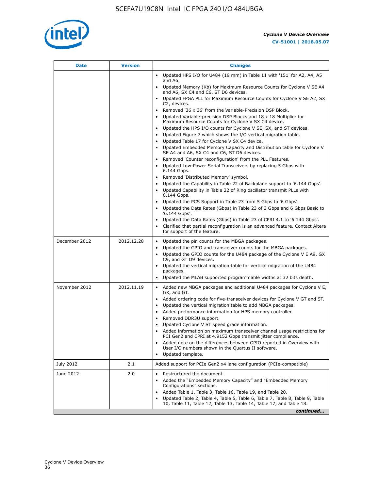

| Date          | <b>Version</b> | <b>Changes</b>                                                                                                                                                                                                                                                                                                                                                                                                                                                                                                                                                                                                                                                                                                                                                                                                                                                                                                                                                                                                                                                                                                                                                                                                                 |
|---------------|----------------|--------------------------------------------------------------------------------------------------------------------------------------------------------------------------------------------------------------------------------------------------------------------------------------------------------------------------------------------------------------------------------------------------------------------------------------------------------------------------------------------------------------------------------------------------------------------------------------------------------------------------------------------------------------------------------------------------------------------------------------------------------------------------------------------------------------------------------------------------------------------------------------------------------------------------------------------------------------------------------------------------------------------------------------------------------------------------------------------------------------------------------------------------------------------------------------------------------------------------------|
|               |                | • Updated HPS I/O for U484 (19 mm) in Table 11 with '151' for A2, A4, A5<br>and A6.                                                                                                                                                                                                                                                                                                                                                                                                                                                                                                                                                                                                                                                                                                                                                                                                                                                                                                                                                                                                                                                                                                                                            |
|               |                | • Updated Memory (Kb) for Maximum Resource Counts for Cyclone V SE A4<br>and A6, SX C4 and C6, ST D6 devices.                                                                                                                                                                                                                                                                                                                                                                                                                                                                                                                                                                                                                                                                                                                                                                                                                                                                                                                                                                                                                                                                                                                  |
|               |                | Updated FPGA PLL for Maximum Resource Counts for Cyclone V SE A2, SX<br>C2, devices.                                                                                                                                                                                                                                                                                                                                                                                                                                                                                                                                                                                                                                                                                                                                                                                                                                                                                                                                                                                                                                                                                                                                           |
|               |                | • Removed '36 x 36' from the Variable-Precision DSP Block.<br>Updated Variable-precision DSP Blocks and 18 x 18 Multiplier for<br>Maximum Resource Counts for Cyclone V SX C4 device.<br>Updated the HPS I/O counts for Cyclone V SE, SX, and ST devices.<br>Updated Figure 7 which shows the I/O vertical migration table.<br>Updated Table 17 for Cyclone V SX C4 device.<br>$\bullet$<br>• Updated Embedded Memory Capacity and Distribution table for Cyclone V<br>SE A4 and A6, SX C4 and C6, ST D6 devices.<br>• Removed 'Counter reconfiguration' from the PLL Features.<br>Updated Low-Power Serial Transceivers by replacing 5 Gbps with<br>6.144 Gbps.<br>• Removed 'Distributed Memory' symbol.<br>Updated the Capability in Table 22 of Backplane support to '6.144 Gbps'.<br>Updated Capability in Table 22 of Ring oscillator transmit PLLs with<br>$\bullet$<br>6.144 Gbps.<br>Updated the PCS Support in Table 23 from 5 Gbps to '6 Gbps'.<br>Updated the Data Rates (Gbps) in Table 23 of 3 Gbps and 6 Gbps Basic to<br>$\bullet$<br>'6.144 Gbps'.<br>Updated the Data Rates (Gbps) in Table 23 of CPRI 4.1 to '6.144 Gbps'.<br>Clarified that partial reconfiguration is an advanced feature. Contact Altera |
| December 2012 | 2012.12.28     | for support of the feature.<br>Updated the pin counts for the MBGA packages.<br>$\bullet$                                                                                                                                                                                                                                                                                                                                                                                                                                                                                                                                                                                                                                                                                                                                                                                                                                                                                                                                                                                                                                                                                                                                      |
|               |                | Updated the GPIO and transceiver counts for the MBGA packages.<br>$\bullet$<br>Updated the GPIO counts for the U484 package of the Cyclone V E A9, GX<br>C9, and GT D9 devices.<br>• Updated the vertical migration table for vertical migration of the U484<br>packages.<br>Updated the MLAB supported programmable widths at 32 bits depth.                                                                                                                                                                                                                                                                                                                                                                                                                                                                                                                                                                                                                                                                                                                                                                                                                                                                                  |
| November 2012 | 2012.11.19     | • Added new MBGA packages and additional U484 packages for Cyclone V E,<br>GX, and GT.<br>• Added ordering code for five-transceiver devices for Cyclone V GT and ST.<br>Updated the vertical migration table to add MBGA packages.<br>$\bullet$<br>Added performance information for HPS memory controller.<br>$\bullet$<br>Removed DDR3U support.<br>$\bullet$<br>Updated Cyclone V ST speed grade information.<br>Added information on maximum transceiver channel usage restrictions for<br>PCI Gen2 and CPRI at 4.9152 Gbps transmit jitter compliance.<br>Added note on the differences between GPIO reported in Overview with<br>٠<br>User I/O numbers shown in the Quartus II software.<br>Updated template.                                                                                                                                                                                                                                                                                                                                                                                                                                                                                                           |
| July 2012     | 2.1            | Added support for PCIe Gen2 x4 lane configuration (PCIe-compatible)                                                                                                                                                                                                                                                                                                                                                                                                                                                                                                                                                                                                                                                                                                                                                                                                                                                                                                                                                                                                                                                                                                                                                            |
| June 2012     | 2.0            | Restructured the document.<br>٠<br>Added the "Embedded Memory Capacity" and "Embedded Memory<br>Configurations" sections.<br>Added Table 1, Table 3, Table 16, Table 19, and Table 20.<br>Updated Table 2, Table 4, Table 5, Table 6, Table 7, Table 8, Table 9, Table<br>10, Table 11, Table 12, Table 13, Table 14, Table 17, and Table 18.<br>continued                                                                                                                                                                                                                                                                                                                                                                                                                                                                                                                                                                                                                                                                                                                                                                                                                                                                     |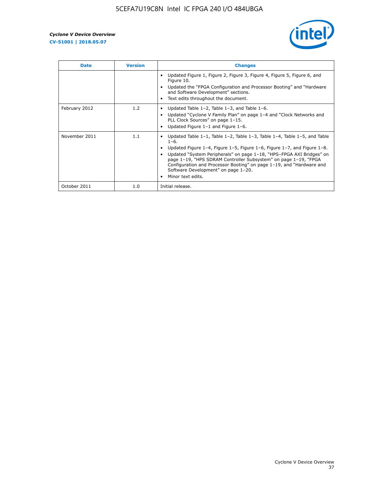

| <b>Date</b>   | <b>Version</b> | <b>Changes</b>                                                                                                                                                                                                                                                                                                                                                                                                                                                             |
|---------------|----------------|----------------------------------------------------------------------------------------------------------------------------------------------------------------------------------------------------------------------------------------------------------------------------------------------------------------------------------------------------------------------------------------------------------------------------------------------------------------------------|
|               |                | Updated Figure 1, Figure 2, Figure 3, Figure 4, Figure 5, Figure 6, and<br>Figure 10.<br>Updated the "FPGA Configuration and Processor Booting" and "Hardware<br>and Software Development" sections.<br>Text edits throughout the document.                                                                                                                                                                                                                                |
| February 2012 | 1.2            | Updated Table $1-2$ , Table $1-3$ , and Table $1-6$ .<br>Updated "Cyclone V Family Plan" on page 1-4 and "Clock Networks and<br>$\bullet$<br>PLL Clock Sources" on page 1-15.<br>Updated Figure 1-1 and Figure 1-6.                                                                                                                                                                                                                                                        |
| November 2011 | 1.1            | Updated Table $1-1$ , Table $1-2$ , Table $1-3$ , Table $1-4$ , Table $1-5$ , and Table<br>$1 - 6.$<br>Updated Figure 1-4, Figure 1-5, Figure 1-6, Figure 1-7, and Figure 1-8.<br>Updated "System Peripherals" on page 1-18, "HPS-FPGA AXI Bridges" on<br>page 1-19, "HPS SDRAM Controller Subsystem" on page 1-19, "FPGA<br>Configuration and Processor Booting" on page 1-19, and "Hardware and<br>Software Development" on page 1-20.<br>Minor text edits.<br>$\bullet$ |
| October 2011  | 1.0            | Initial release.                                                                                                                                                                                                                                                                                                                                                                                                                                                           |